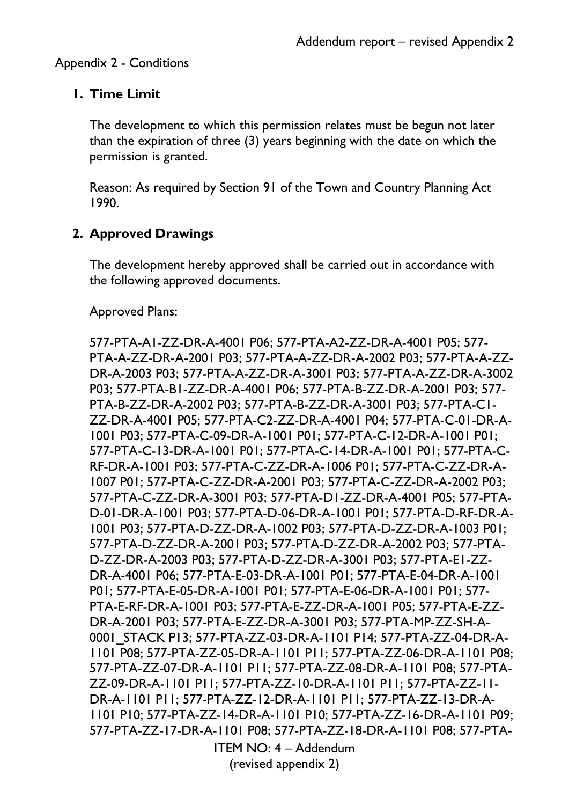### **1. Time Limit**

The development to which this permission relates must be begun not later than the expiration of three (3) years beginning with the date on which the permission is granted.

Reason: As required by Section 91 of the Town and Country Planning Act 1990.

## **2. Approved Drawings**

The development hereby approved shall be carried out in accordance with the following approved documents.

Approved Plans:

ITEM NO: 4 – Addendum 577-PTA-A1-ZZ-DR-A-4001 P06; 577-PTA-A2-ZZ-DR-A-4001 P05; 577- PTA-A-ZZ-DR-A-2001 P03; 577-PTA-A-ZZ-DR-A-2002 P03; 577-PTA-A-ZZ-DR-A-2003 P03; 577-PTA-A-ZZ-DR-A-3001 P03; 577-PTA-A-ZZ-DR-A-3002 P03; 577-PTA-B1-ZZ-DR-A-4001 P06; 577-PTA-B-ZZ-DR-A-2001 P03; 577- PTA-B-ZZ-DR-A-2002 P03; 577-PTA-B-ZZ-DR-A-3001 P03; 577-PTA-C1- ZZ-DR-A-4001 P05; 577-PTA-C2-ZZ-DR-A-4001 P04; 577-PTA-C-01-DR-A-1001 P03; 577-PTA-C-09-DR-A-1001 P01; 577-PTA-C-12-DR-A-1001 P01; 577-PTA-C-13-DR-A-1001 P01; 577-PTA-C-14-DR-A-1001 P01; 577-PTA-C-RF-DR-A-1001 P03; 577-PTA-C-ZZ-DR-A-1006 P01; 577-PTA-C-ZZ-DR-A-1007 P01; 577-PTA-C-ZZ-DR-A-2001 P03; 577-PTA-C-ZZ-DR-A-2002 P03; 577-PTA-C-ZZ-DR-A-3001 P03; 577-PTA-D1-ZZ-DR-A-4001 P05; 577-PTA-D-01-DR-A-1001 P03; 577-PTA-D-06-DR-A-1001 P01; 577-PTA-D-RF-DR-A-1001 P03; 577-PTA-D-ZZ-DR-A-1002 P03; 577-PTA-D-ZZ-DR-A-1003 P01; 577-PTA-D-ZZ-DR-A-2001 P03; 577-PTA-D-ZZ-DR-A-2002 P03; 577-PTA-D-ZZ-DR-A-2003 P03; 577-PTA-D-ZZ-DR-A-3001 P03; 577-PTA-E1-ZZ-DR-A-4001 P06; 577-PTA-E-03-DR-A-1001 P01; 577-PTA-E-04-DR-A-1001 P01; 577-PTA-E-05-DR-A-1001 P01; 577-PTA-E-06-DR-A-1001 P01; 577- PTA-E-RF-DR-A-1001 P03; 577-PTA-E-ZZ-DR-A-1001 P05; 577-PTA-E-ZZ-DR-A-2001 P03; 577-PTA-E-ZZ-DR-A-3001 P03; 577-PTA-MP-ZZ-SH-A-0001\_STACK P13; 577-PTA-ZZ-03-DR-A-1101 P14; 577-PTA-ZZ-04-DR-A-1101 P08; 577-PTA-ZZ-05-DR-A-1101 P11; 577-PTA-ZZ-06-DR-A-1101 P08; 577-PTA-ZZ-07-DR-A-1101 P11; 577-PTA-ZZ-08-DR-A-1101 P08; 577-PTA-ZZ-09-DR-A-1101 P11; 577-PTA-ZZ-10-DR-A-1101 P11; 577-PTA-ZZ-11- DR-A-1101 P11; 577-PTA-ZZ-12-DR-A-1101 P11; 577-PTA-ZZ-13-DR-A-1101 P10; 577-PTA-ZZ-14-DR-A-1101 P10; 577-PTA-ZZ-16-DR-A-1101 P09; 577-PTA-ZZ-17-DR-A-1101 P08; 577-PTA-ZZ-18-DR-A-1101 P08; 577-PTA-

(revised appendix 2)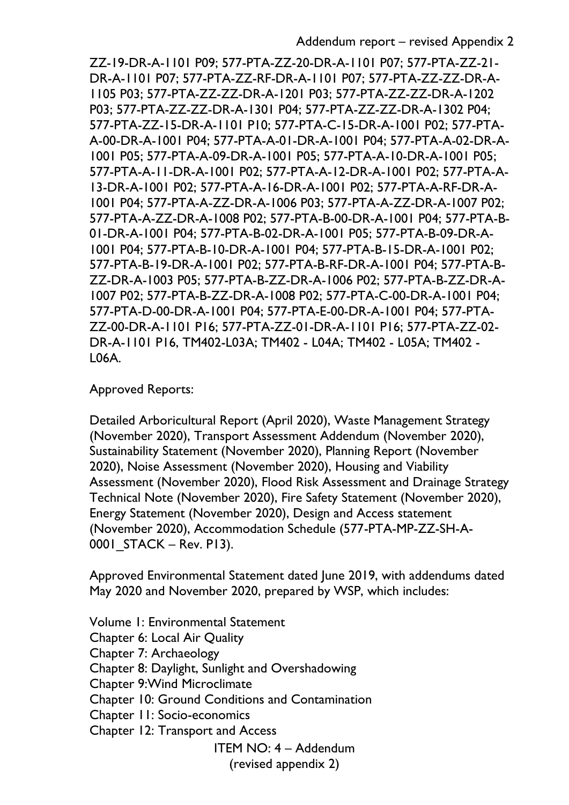ZZ-19-DR-A-1101 P09; 577-PTA-ZZ-20-DR-A-1101 P07; 577-PTA-ZZ-21- DR-A-1101 P07; 577-PTA-ZZ-RF-DR-A-1101 P07; 577-PTA-ZZ-ZZ-DR-A-1105 P03; 577-PTA-ZZ-ZZ-DR-A-1201 P03; 577-PTA-ZZ-ZZ-DR-A-1202 P03; 577-PTA-ZZ-ZZ-DR-A-1301 P04; 577-PTA-ZZ-ZZ-DR-A-1302 P04; 577-PTA-ZZ-15-DR-A-1101 P10; 577-PTA-C-15-DR-A-1001 P02; 577-PTA-A-00-DR-A-1001 P04; 577-PTA-A-01-DR-A-1001 P04; 577-PTA-A-02-DR-A-1001 P05; 577-PTA-A-09-DR-A-1001 P05; 577-PTA-A-10-DR-A-1001 P05; 577-PTA-A-11-DR-A-1001 P02; 577-PTA-A-12-DR-A-1001 P02; 577-PTA-A-13-DR-A-1001 P02; 577-PTA-A-16-DR-A-1001 P02; 577-PTA-A-RF-DR-A-1001 P04; 577-PTA-A-ZZ-DR-A-1006 P03; 577-PTA-A-ZZ-DR-A-1007 P02; 577-PTA-A-ZZ-DR-A-1008 P02; 577-PTA-B-00-DR-A-1001 P04; 577-PTA-B-01-DR-A-1001 P04; 577-PTA-B-02-DR-A-1001 P05; 577-PTA-B-09-DR-A-1001 P04; 577-PTA-B-10-DR-A-1001 P04; 577-PTA-B-15-DR-A-1001 P02; 577-PTA-B-19-DR-A-1001 P02; 577-PTA-B-RF-DR-A-1001 P04; 577-PTA-B-ZZ-DR-A-1003 P05; 577-PTA-B-ZZ-DR-A-1006 P02; 577-PTA-B-ZZ-DR-A-1007 P02; 577-PTA-B-ZZ-DR-A-1008 P02; 577-PTA-C-00-DR-A-1001 P04; 577-PTA-D-00-DR-A-1001 P04; 577-PTA-E-00-DR-A-1001 P04; 577-PTA-ZZ-00-DR-A-1101 P16; 577-PTA-ZZ-01-DR-A-1101 P16; 577-PTA-ZZ-02- DR-A-1101 P16, TM402-L03A; TM402 - L04A; TM402 - L05A; TM402 - L06A.

Approved Reports:

Detailed Arboricultural Report (April 2020), Waste Management Strategy (November 2020), Transport Assessment Addendum (November 2020), Sustainability Statement (November 2020), Planning Report (November 2020), Noise Assessment (November 2020), Housing and Viability Assessment (November 2020), Flood Risk Assessment and Drainage Strategy Technical Note (November 2020), Fire Safety Statement (November 2020), Energy Statement (November 2020), Design and Access statement (November 2020), Accommodation Schedule (577-PTA-MP-ZZ-SH-A-0001\_STACK – Rev. P13).

Approved Environmental Statement dated June 2019, with addendums dated May 2020 and November 2020, prepared by WSP, which includes:

ITEM NO: 4 – Addendum Volume 1: Environmental Statement Chapter 6: Local Air Quality Chapter 7: Archaeology Chapter 8: Daylight, Sunlight and Overshadowing Chapter 9:Wind Microclimate Chapter 10: Ground Conditions and Contamination Chapter 11: Socio-economics Chapter 12: Transport and Access

(revised appendix 2)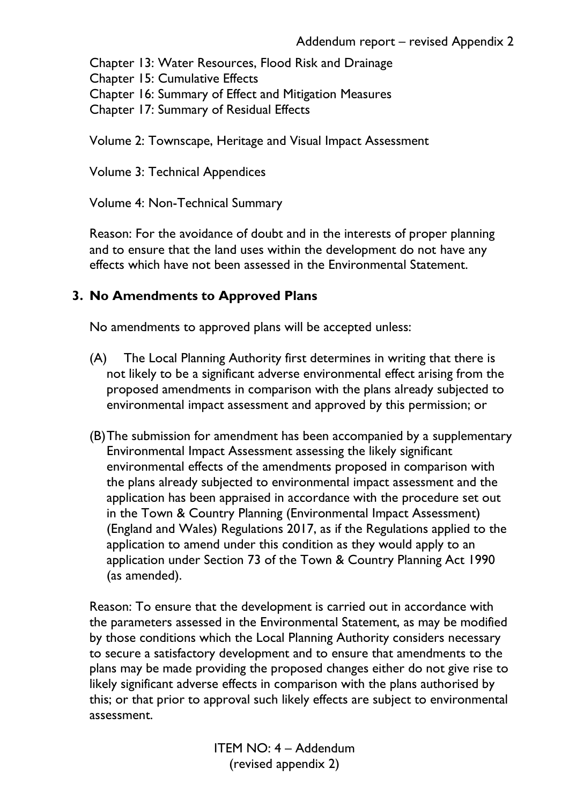Chapter 13: Water Resources, Flood Risk and Drainage

Chapter 15: Cumulative Effects

Chapter 16: Summary of Effect and Mitigation Measures

Chapter 17: Summary of Residual Effects

Volume 2: Townscape, Heritage and Visual Impact Assessment

Volume 3: Technical Appendices

Volume 4: Non-Technical Summary

Reason: For the avoidance of doubt and in the interests of proper planning and to ensure that the land uses within the development do not have any effects which have not been assessed in the Environmental Statement.

### **3. No Amendments to Approved Plans**

No amendments to approved plans will be accepted unless:

- (A) The Local Planning Authority first determines in writing that there is not likely to be a significant adverse environmental effect arising from the proposed amendments in comparison with the plans already subjected to environmental impact assessment and approved by this permission; or
- (B)The submission for amendment has been accompanied by a supplementary Environmental Impact Assessment assessing the likely significant environmental effects of the amendments proposed in comparison with the plans already subjected to environmental impact assessment and the application has been appraised in accordance with the procedure set out in the Town & Country Planning (Environmental Impact Assessment) (England and Wales) Regulations 2017, as if the Regulations applied to the application to amend under this condition as they would apply to an application under Section 73 of the Town & Country Planning Act 1990 (as amended).

Reason: To ensure that the development is carried out in accordance with the parameters assessed in the Environmental Statement, as may be modified by those conditions which the Local Planning Authority considers necessary to secure a satisfactory development and to ensure that amendments to the plans may be made providing the proposed changes either do not give rise to likely significant adverse effects in comparison with the plans authorised by this; or that prior to approval such likely effects are subject to environmental assessment.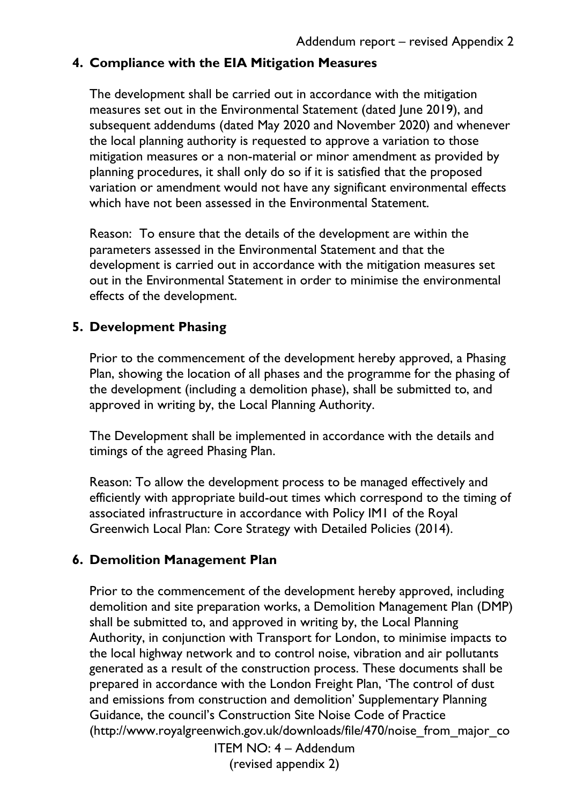### **4. Compliance with the EIA Mitigation Measures**

The development shall be carried out in accordance with the mitigation measures set out in the Environmental Statement (dated June 2019), and subsequent addendums (dated May 2020 and November 2020) and whenever the local planning authority is requested to approve a variation to those mitigation measures or a non-material or minor amendment as provided by planning procedures, it shall only do so if it is satisfied that the proposed variation or amendment would not have any significant environmental effects which have not been assessed in the Environmental Statement.

Reason: To ensure that the details of the development are within the parameters assessed in the Environmental Statement and that the development is carried out in accordance with the mitigation measures set out in the Environmental Statement in order to minimise the environmental effects of the development.

### **5. Development Phasing**

Prior to the commencement of the development hereby approved, a Phasing Plan, showing the location of all phases and the programme for the phasing of the development (including a demolition phase), shall be submitted to, and approved in writing by, the Local Planning Authority.

The Development shall be implemented in accordance with the details and timings of the agreed Phasing Plan.

Reason: To allow the development process to be managed effectively and efficiently with appropriate build-out times which correspond to the timing of associated infrastructure in accordance with Policy IM1 of the Royal Greenwich Local Plan: Core Strategy with Detailed Policies (2014).

### **6. Demolition Management Plan**

Prior to the commencement of the development hereby approved, including demolition and site preparation works, a Demolition Management Plan (DMP) shall be submitted to, and approved in writing by, the Local Planning Authority, in conjunction with Transport for London, to minimise impacts to the local highway network and to control noise, vibration and air pollutants generated as a result of the construction process. These documents shall be prepared in accordance with the London Freight Plan, 'The control of dust and emissions from construction and demolition' Supplementary Planning Guidance, the council's Construction Site Noise Code of Practice (http://www.royalgreenwich.gov.uk/downloads/file/470/noise\_from\_major\_co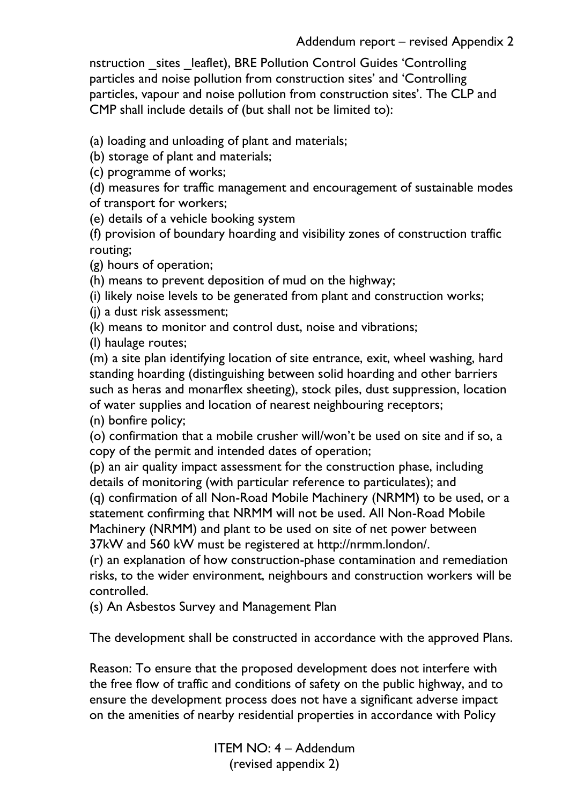nstruction sites leaflet), BRE Pollution Control Guides 'Controlling particles and noise pollution from construction sites' and 'Controlling particles, vapour and noise pollution from construction sites'. The CLP and CMP shall include details of (but shall not be limited to):

(a) loading and unloading of plant and materials;

(b) storage of plant and materials;

(c) programme of works;

(d) measures for traffic management and encouragement of sustainable modes of transport for workers;

(e) details of a vehicle booking system

(f) provision of boundary hoarding and visibility zones of construction traffic routing;

(g) hours of operation;

(h) means to prevent deposition of mud on the highway;

(i) likely noise levels to be generated from plant and construction works;

(j) a dust risk assessment;

(k) means to monitor and control dust, noise and vibrations;

(l) haulage routes;

(m) a site plan identifying location of site entrance, exit, wheel washing, hard standing hoarding (distinguishing between solid hoarding and other barriers such as heras and monarflex sheeting), stock piles, dust suppression, location of water supplies and location of nearest neighbouring receptors;

(n) bonfire policy;

(o) confirmation that a mobile crusher will/won't be used on site and if so, a copy of the permit and intended dates of operation;

(p) an air quality impact assessment for the construction phase, including details of monitoring (with particular reference to particulates); and

(q) confirmation of all Non-Road Mobile Machinery (NRMM) to be used, or a statement confirming that NRMM will not be used. All Non-Road Mobile Machinery (NRMM) and plant to be used on site of net power between 37kW and 560 kW must be registered at http://nrmm.london/.

(r) an explanation of how construction-phase contamination and remediation risks, to the wider environment, neighbours and construction workers will be controlled.

(s) An Asbestos Survey and Management Plan

The development shall be constructed in accordance with the approved Plans.

Reason: To ensure that the proposed development does not interfere with the free flow of traffic and conditions of safety on the public highway, and to ensure the development process does not have a significant adverse impact on the amenities of nearby residential properties in accordance with Policy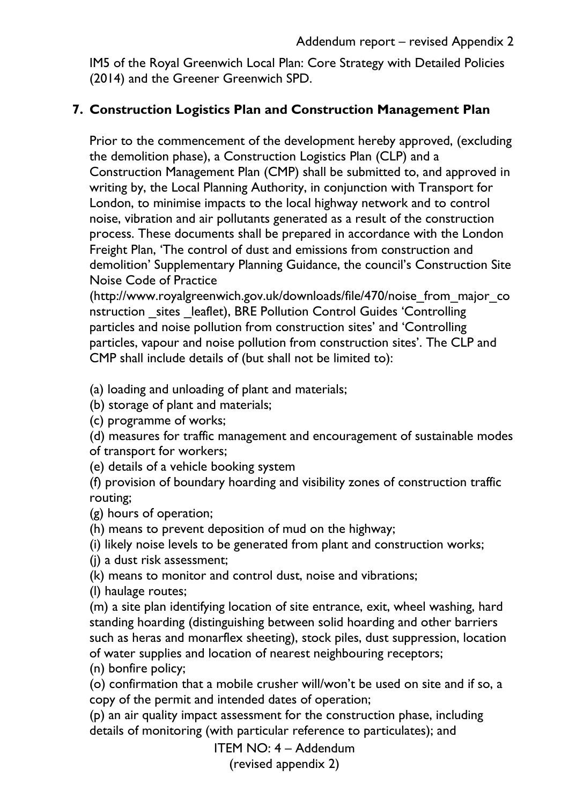IM5 of the Royal Greenwich Local Plan: Core Strategy with Detailed Policies (2014) and the Greener Greenwich SPD.

### **7. Construction Logistics Plan and Construction Management Plan**

Prior to the commencement of the development hereby approved, (excluding the demolition phase), a Construction Logistics Plan (CLP) and a Construction Management Plan (CMP) shall be submitted to, and approved in writing by, the Local Planning Authority, in conjunction with Transport for London, to minimise impacts to the local highway network and to control noise, vibration and air pollutants generated as a result of the construction process. These documents shall be prepared in accordance with the London Freight Plan, 'The control of dust and emissions from construction and demolition' Supplementary Planning Guidance, the council's Construction Site Noise Code of Practice

(http://www.royalgreenwich.gov.uk/downloads/file/470/noise\_from\_major\_co nstruction sites leaflet), BRE Pollution Control Guides 'Controlling particles and noise pollution from construction sites' and 'Controlling particles, vapour and noise pollution from construction sites'. The CLP and CMP shall include details of (but shall not be limited to):

(a) loading and unloading of plant and materials;

(b) storage of plant and materials;

(c) programme of works;

(d) measures for traffic management and encouragement of sustainable modes of transport for workers;

(e) details of a vehicle booking system

(f) provision of boundary hoarding and visibility zones of construction traffic routing;

(g) hours of operation;

(h) means to prevent deposition of mud on the highway;

(i) likely noise levels to be generated from plant and construction works;

(j) a dust risk assessment;

(k) means to monitor and control dust, noise and vibrations;

(l) haulage routes;

(m) a site plan identifying location of site entrance, exit, wheel washing, hard standing hoarding (distinguishing between solid hoarding and other barriers such as heras and monarflex sheeting), stock piles, dust suppression, location of water supplies and location of nearest neighbouring receptors;

(n) bonfire policy;

(o) confirmation that a mobile crusher will/won't be used on site and if so, a copy of the permit and intended dates of operation;

(p) an air quality impact assessment for the construction phase, including details of monitoring (with particular reference to particulates); and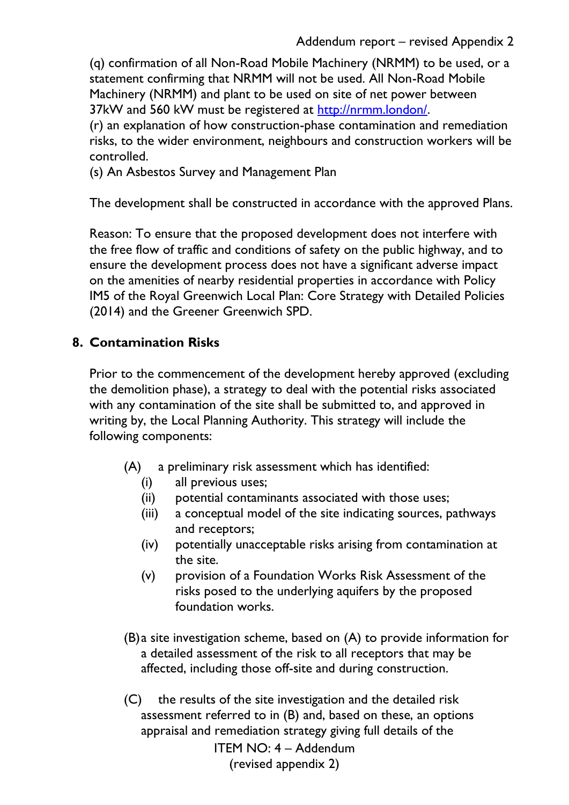(q) confirmation of all Non-Road Mobile Machinery (NRMM) to be used, or a statement confirming that NRMM will not be used. All Non-Road Mobile Machinery (NRMM) and plant to be used on site of net power between 37kW and 560 kW must be registered at [http://nrmm.london/.](http://nrmm.london/)

(r) an explanation of how construction-phase contamination and remediation risks, to the wider environment, neighbours and construction workers will be controlled.

(s) An Asbestos Survey and Management Plan

The development shall be constructed in accordance with the approved Plans.

Reason: To ensure that the proposed development does not interfere with the free flow of traffic and conditions of safety on the public highway, and to ensure the development process does not have a significant adverse impact on the amenities of nearby residential properties in accordance with Policy IM5 of the Royal Greenwich Local Plan: Core Strategy with Detailed Policies (2014) and the Greener Greenwich SPD.

### **8. Contamination Risks**

Prior to the commencement of the development hereby approved (excluding the demolition phase), a strategy to deal with the potential risks associated with any contamination of the site shall be submitted to, and approved in writing by, the Local Planning Authority. This strategy will include the following components:

- (A) a preliminary risk assessment which has identified:
	- (i) all previous uses;
	- (ii) potential contaminants associated with those uses;
	- (iii) a conceptual model of the site indicating sources, pathways and receptors;
	- (iv) potentially unacceptable risks arising from contamination at the site.
	- (v) provision of a Foundation Works Risk Assessment of the risks posed to the underlying aquifers by the proposed foundation works.
- (B)a site investigation scheme, based on (A) to provide information for a detailed assessment of the risk to all receptors that may be affected, including those off-site and during construction.

ITEM NO: 4 – Addendum (revised appendix 2) (C) the results of the site investigation and the detailed risk assessment referred to in (B) and, based on these, an options appraisal and remediation strategy giving full details of the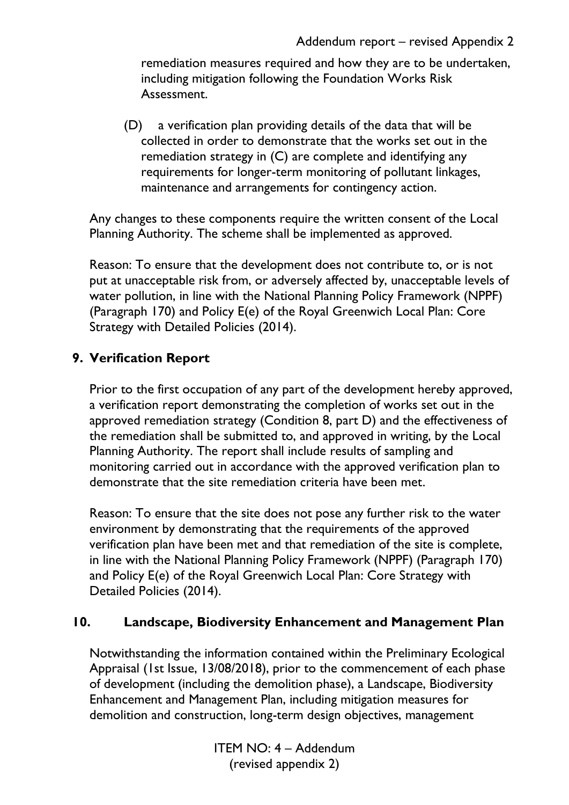remediation measures required and how they are to be undertaken, including mitigation following the Foundation Works Risk Assessment.

(D) a verification plan providing details of the data that will be collected in order to demonstrate that the works set out in the remediation strategy in (C) are complete and identifying any requirements for longer-term monitoring of pollutant linkages, maintenance and arrangements for contingency action.

Any changes to these components require the written consent of the Local Planning Authority. The scheme shall be implemented as approved.

Reason: To ensure that the development does not contribute to, or is not put at unacceptable risk from, or adversely affected by, unacceptable levels of water pollution, in line with the National Planning Policy Framework (NPPF) (Paragraph 170) and Policy E(e) of the Royal Greenwich Local Plan: Core Strategy with Detailed Policies (2014).

### **9. Verification Report**

Prior to the first occupation of any part of the development hereby approved, a verification report demonstrating the completion of works set out in the approved remediation strategy (Condition 8, part D) and the effectiveness of the remediation shall be submitted to, and approved in writing, by the Local Planning Authority. The report shall include results of sampling and monitoring carried out in accordance with the approved verification plan to demonstrate that the site remediation criteria have been met.

Reason: To ensure that the site does not pose any further risk to the water environment by demonstrating that the requirements of the approved verification plan have been met and that remediation of the site is complete, in line with the National Planning Policy Framework (NPPF) (Paragraph 170) and Policy E(e) of the Royal Greenwich Local Plan: Core Strategy with Detailed Policies (2014).

#### **10. Landscape, Biodiversity Enhancement and Management Plan**

Notwithstanding the information contained within the Preliminary Ecological Appraisal (1st Issue, 13/08/2018), prior to the commencement of each phase of development (including the demolition phase), a Landscape, Biodiversity Enhancement and Management Plan, including mitigation measures for demolition and construction, long-term design objectives, management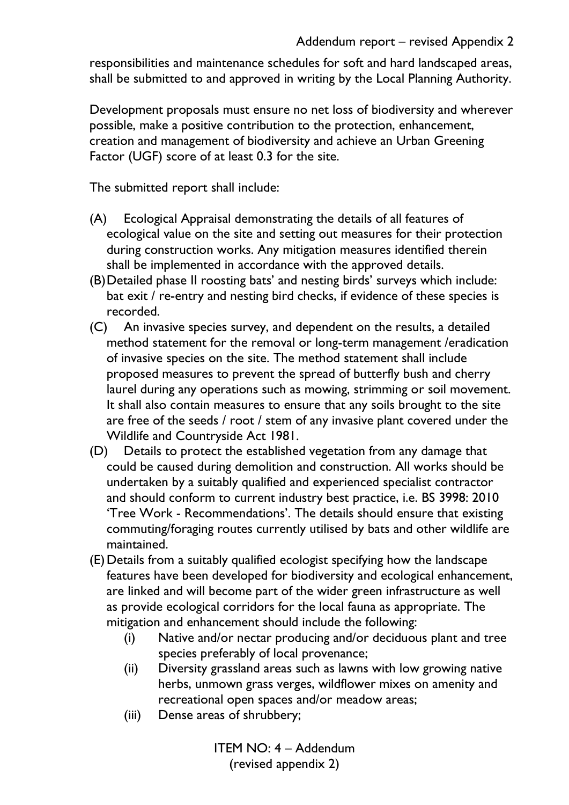responsibilities and maintenance schedules for soft and hard landscaped areas, shall be submitted to and approved in writing by the Local Planning Authority.

Development proposals must ensure no net loss of biodiversity and wherever possible, make a positive contribution to the protection, enhancement, creation and management of biodiversity and achieve an Urban Greening Factor (UGF) score of at least 0.3 for the site.

The submitted report shall include:

- (A) Ecological Appraisal demonstrating the details of all features of ecological value on the site and setting out measures for their protection during construction works. Any mitigation measures identified therein shall be implemented in accordance with the approved details.
- (B)Detailed phase II roosting bats' and nesting birds' surveys which include: bat exit / re-entry and nesting bird checks, if evidence of these species is recorded.
- (C) An invasive species survey, and dependent on the results, a detailed method statement for the removal or long-term management /eradication of invasive species on the site. The method statement shall include proposed measures to prevent the spread of butterfly bush and cherry laurel during any operations such as mowing, strimming or soil movement. It shall also contain measures to ensure that any soils brought to the site are free of the seeds / root / stem of any invasive plant covered under the Wildlife and Countryside Act 1981.
- (D) Details to protect the established vegetation from any damage that could be caused during demolition and construction. All works should be undertaken by a suitably qualified and experienced specialist contractor and should conform to current industry best practice, i.e. BS 3998: 2010 'Tree Work - Recommendations'. The details should ensure that existing commuting/foraging routes currently utilised by bats and other wildlife are maintained.
- (E)Details from a suitably qualified ecologist specifying how the landscape features have been developed for biodiversity and ecological enhancement, are linked and will become part of the wider green infrastructure as well as provide ecological corridors for the local fauna as appropriate. The mitigation and enhancement should include the following:
	- (i) Native and/or nectar producing and/or deciduous plant and tree species preferably of local provenance;
	- (ii) Diversity grassland areas such as lawns with low growing native herbs, unmown grass verges, wildflower mixes on amenity and recreational open spaces and/or meadow areas;
	- (iii) Dense areas of shrubbery;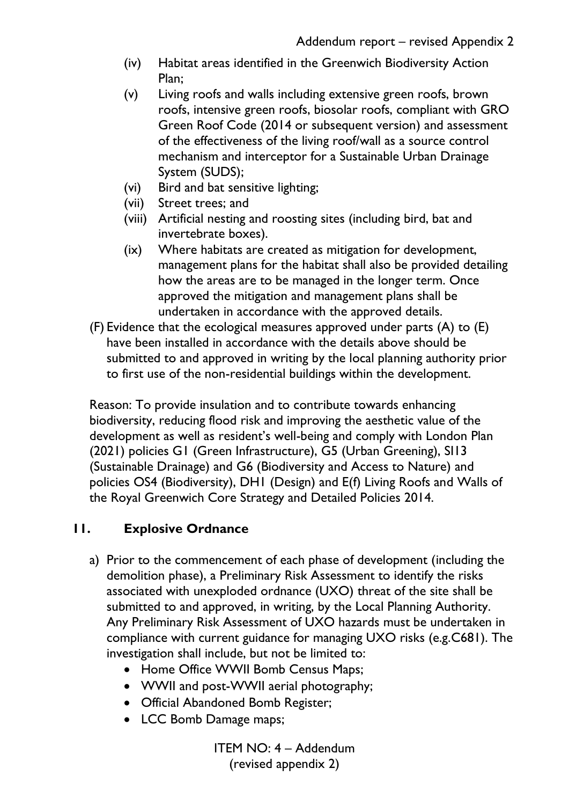- (iv) Habitat areas identified in the Greenwich Biodiversity Action Plan;
- (v) Living roofs and walls including extensive green roofs, brown roofs, intensive green roofs, biosolar roofs, compliant with GRO Green Roof Code (2014 or subsequent version) and assessment of the effectiveness of the living roof/wall as a source control mechanism and interceptor for a Sustainable Urban Drainage System (SUDS);
- (vi) Bird and bat sensitive lighting;
- (vii) Street trees; and
- (viii) Artificial nesting and roosting sites (including bird, bat and invertebrate boxes).
- (ix) Where habitats are created as mitigation for development, management plans for the habitat shall also be provided detailing how the areas are to be managed in the longer term. Once approved the mitigation and management plans shall be undertaken in accordance with the approved details.
- (F) Evidence that the ecological measures approved under parts (A) to (E) have been installed in accordance with the details above should be submitted to and approved in writing by the local planning authority prior to first use of the non-residential buildings within the development.

Reason: To provide insulation and to contribute towards enhancing biodiversity, reducing flood risk and improving the aesthetic value of the development as well as resident's well-being and comply with London Plan (2021) policies G1 (Green Infrastructure), G5 (Urban Greening), SI13 (Sustainable Drainage) and G6 (Biodiversity and Access to Nature) and policies OS4 (Biodiversity), DH1 (Design) and E(f) Living Roofs and Walls of the Royal Greenwich Core Strategy and Detailed Policies 2014.

### **11. Explosive Ordnance**

- a) Prior to the commencement of each phase of development (including the demolition phase), a Preliminary Risk Assessment to identify the risks associated with unexploded ordnance (UXO) threat of the site shall be submitted to and approved, in writing, by the Local Planning Authority. Any Preliminary Risk Assessment of UXO hazards must be undertaken in compliance with current guidance for managing UXO risks (e.g.C681). The investigation shall include, but not be limited to:
	- Home Office WWII Bomb Census Maps;
	- WWII and post-WWII aerial photography;
	- Official Abandoned Bomb Register;
	- LCC Bomb Damage maps;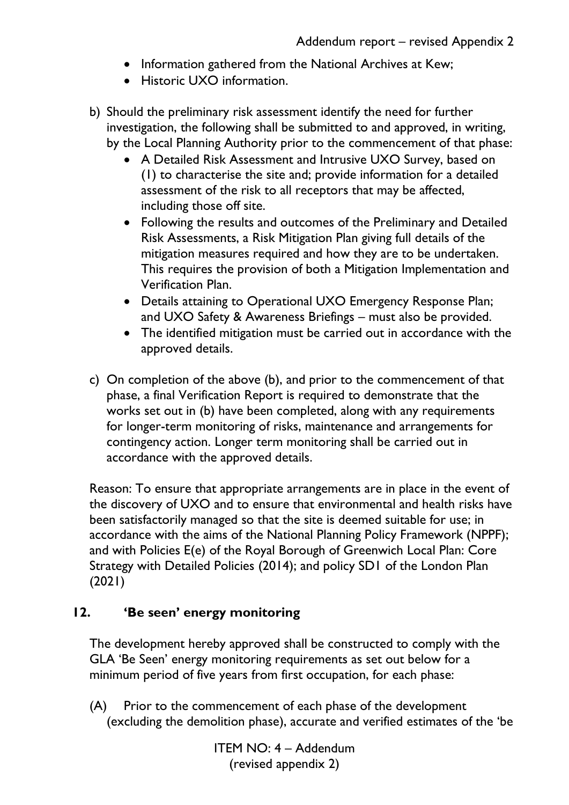- Information gathered from the National Archives at Kew;
- Historic UXO information.
- b) Should the preliminary risk assessment identify the need for further investigation, the following shall be submitted to and approved, in writing, by the Local Planning Authority prior to the commencement of that phase:
	- A Detailed Risk Assessment and Intrusive UXO Survey, based on (1) to characterise the site and; provide information for a detailed assessment of the risk to all receptors that may be affected, including those off site.
	- Following the results and outcomes of the Preliminary and Detailed Risk Assessments, a Risk Mitigation Plan giving full details of the mitigation measures required and how they are to be undertaken. This requires the provision of both a Mitigation Implementation and Verification Plan.
	- Details attaining to Operational UXO Emergency Response Plan; and UXO Safety & Awareness Briefings – must also be provided.
	- The identified mitigation must be carried out in accordance with the approved details.
- c) On completion of the above (b), and prior to the commencement of that phase, a final Verification Report is required to demonstrate that the works set out in (b) have been completed, along with any requirements for longer-term monitoring of risks, maintenance and arrangements for contingency action. Longer term monitoring shall be carried out in accordance with the approved details.

Reason: To ensure that appropriate arrangements are in place in the event of the discovery of UXO and to ensure that environmental and health risks have been satisfactorily managed so that the site is deemed suitable for use; in accordance with the aims of the National Planning Policy Framework (NPPF); and with Policies E(e) of the Royal Borough of Greenwich Local Plan: Core Strategy with Detailed Policies (2014); and policy SD1 of the London Plan (2021)

### **12. 'Be seen' energy monitoring**

The development hereby approved shall be constructed to comply with the GLA 'Be Seen' energy monitoring requirements as set out below for a minimum period of five years from first occupation, for each phase:

(A) Prior to the commencement of each phase of the development (excluding the demolition phase), accurate and verified estimates of the 'be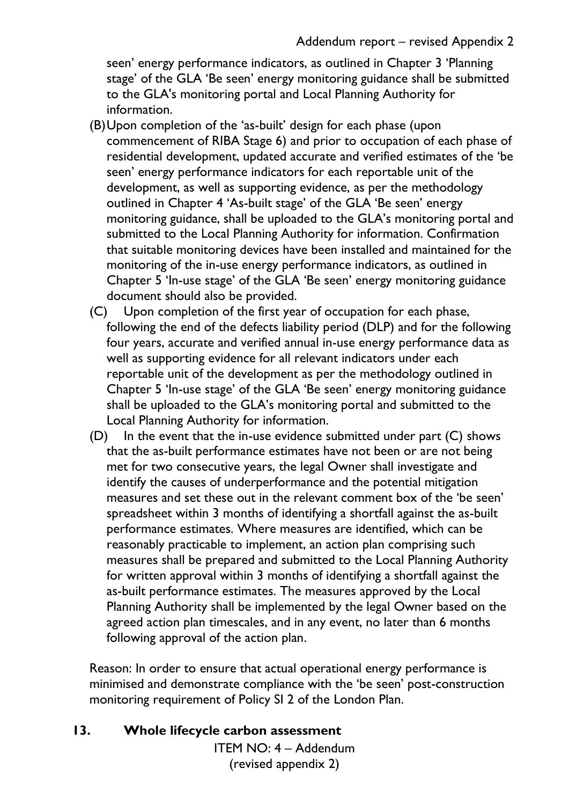seen' energy performance indicators, as outlined in Chapter 3 'Planning stage' of the GLA 'Be seen' energy monitoring guidance shall be submitted to the GLA's monitoring portal and Local Planning Authority for information.

- (B)Upon completion of the 'as-built' design for each phase (upon commencement of RIBA Stage 6) and prior to occupation of each phase of residential development, updated accurate and verified estimates of the 'be seen' energy performance indicators for each reportable unit of the development, as well as supporting evidence, as per the methodology outlined in Chapter 4 'As-built stage' of the GLA 'Be seen' energy monitoring guidance, shall be uploaded to the GLA's monitoring portal and submitted to the Local Planning Authority for information. Confirmation that suitable monitoring devices have been installed and maintained for the monitoring of the in-use energy performance indicators, as outlined in Chapter 5 'In-use stage' of the GLA 'Be seen' energy monitoring guidance document should also be provided.
- (C) Upon completion of the first year of occupation for each phase, following the end of the defects liability period (DLP) and for the following four years, accurate and verified annual in-use energy performance data as well as supporting evidence for all relevant indicators under each reportable unit of the development as per the methodology outlined in Chapter 5 'In-use stage' of the GLA 'Be seen' energy monitoring guidance shall be uploaded to the GLA's monitoring portal and submitted to the Local Planning Authority for information.
- (D) In the event that the in-use evidence submitted under part (C) shows that the as-built performance estimates have not been or are not being met for two consecutive years, the legal Owner shall investigate and identify the causes of underperformance and the potential mitigation measures and set these out in the relevant comment box of the 'be seen' spreadsheet within 3 months of identifying a shortfall against the as-built performance estimates. Where measures are identified, which can be reasonably practicable to implement, an action plan comprising such measures shall be prepared and submitted to the Local Planning Authority for written approval within 3 months of identifying a shortfall against the as-built performance estimates. The measures approved by the Local Planning Authority shall be implemented by the legal Owner based on the agreed action plan timescales, and in any event, no later than 6 months following approval of the action plan.

Reason: In order to ensure that actual operational energy performance is minimised and demonstrate compliance with the 'be seen' post-construction monitoring requirement of Policy SI 2 of the London Plan.

#### **13. Whole lifecycle carbon assessment**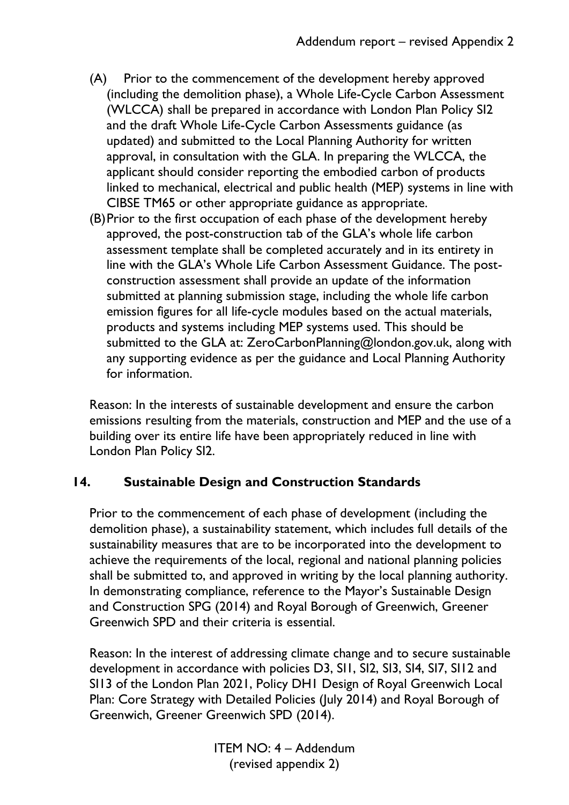- (A) Prior to the commencement of the development hereby approved (including the demolition phase), a Whole Life-Cycle Carbon Assessment (WLCCA) shall be prepared in accordance with London Plan Policy SI2 and the draft Whole Life-Cycle Carbon Assessments guidance (as updated) and submitted to the Local Planning Authority for written approval, in consultation with the GLA. In preparing the WLCCA, the applicant should consider reporting the embodied carbon of products linked to mechanical, electrical and public health (MEP) systems in line with CIBSE TM65 or other appropriate guidance as appropriate.
- (B)Prior to the first occupation of each phase of the development hereby approved, the post-construction tab of the GLA's whole life carbon assessment template shall be completed accurately and in its entirety in line with the GLA's Whole Life Carbon Assessment Guidance. The postconstruction assessment shall provide an update of the information submitted at planning submission stage, including the whole life carbon emission figures for all life-cycle modules based on the actual materials, products and systems including MEP systems used. This should be submitted to the GLA at: ZeroCarbonPlanning@london.gov.uk, along with any supporting evidence as per the guidance and Local Planning Authority for information.

Reason: In the interests of sustainable development and ensure the carbon emissions resulting from the materials, construction and MEP and the use of a building over its entire life have been appropriately reduced in line with London Plan Policy SI2.

### **14. Sustainable Design and Construction Standards**

Prior to the commencement of each phase of development (including the demolition phase), a sustainability statement, which includes full details of the sustainability measures that are to be incorporated into the development to achieve the requirements of the local, regional and national planning policies shall be submitted to, and approved in writing by the local planning authority. In demonstrating compliance, reference to the Mayor's Sustainable Design and Construction SPG (2014) and Royal Borough of Greenwich, Greener Greenwich SPD and their criteria is essential.

Reason: In the interest of addressing climate change and to secure sustainable development in accordance with policies D3, SI1, SI2, SI3, SI4, SI7, SI12 and SI13 of the London Plan 2021, Policy DH1 Design of Royal Greenwich Local Plan: Core Strategy with Detailed Policies (July 2014) and Royal Borough of Greenwich, Greener Greenwich SPD (2014).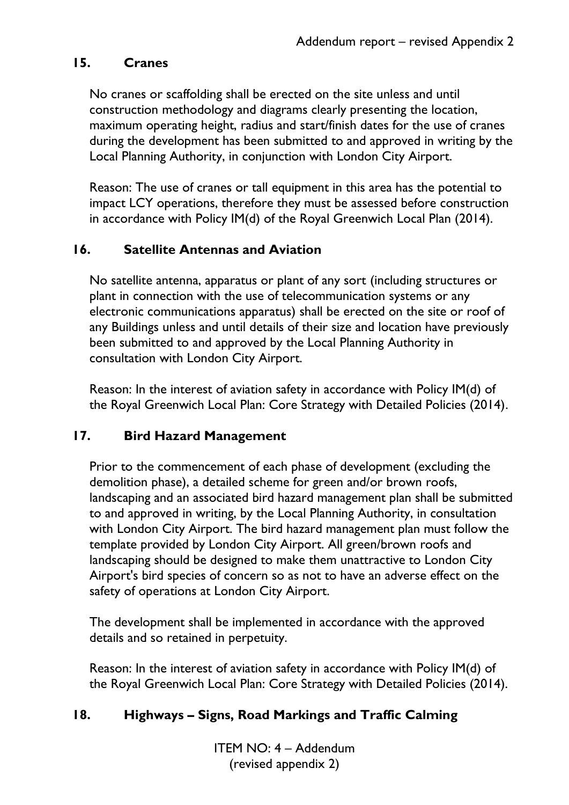### **15. Cranes**

No cranes or scaffolding shall be erected on the site unless and until construction methodology and diagrams clearly presenting the location, maximum operating height, radius and start/finish dates for the use of cranes during the development has been submitted to and approved in writing by the Local Planning Authority, in conjunction with London City Airport.

Reason: The use of cranes or tall equipment in this area has the potential to impact LCY operations, therefore they must be assessed before construction in accordance with Policy IM(d) of the Royal Greenwich Local Plan (2014).

### **16. Satellite Antennas and Aviation**

No satellite antenna, apparatus or plant of any sort (including structures or plant in connection with the use of telecommunication systems or any electronic communications apparatus) shall be erected on the site or roof of any Buildings unless and until details of their size and location have previously been submitted to and approved by the Local Planning Authority in consultation with London City Airport.

Reason: In the interest of aviation safety in accordance with Policy IM(d) of the Royal Greenwich Local Plan: Core Strategy with Detailed Policies (2014).

#### **17. Bird Hazard Management**

Prior to the commencement of each phase of development (excluding the demolition phase), a detailed scheme for green and/or brown roofs, landscaping and an associated bird hazard management plan shall be submitted to and approved in writing, by the Local Planning Authority, in consultation with London City Airport. The bird hazard management plan must follow the template provided by London City Airport. All green/brown roofs and landscaping should be designed to make them unattractive to London City Airport's bird species of concern so as not to have an adverse effect on the safety of operations at London City Airport.

The development shall be implemented in accordance with the approved details and so retained in perpetuity.

Reason: In the interest of aviation safety in accordance with Policy IM(d) of the Royal Greenwich Local Plan: Core Strategy with Detailed Policies (2014).

### **18. Highways – Signs, Road Markings and Traffic Calming**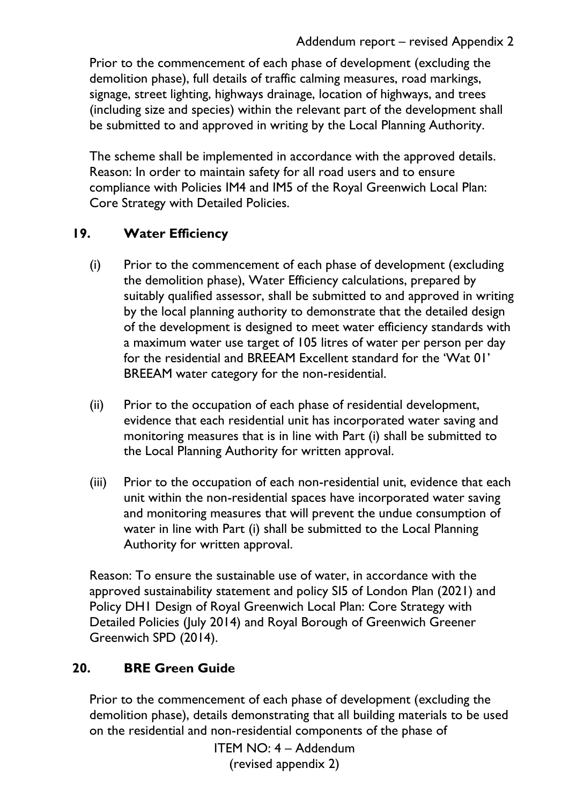Prior to the commencement of each phase of development (excluding the demolition phase), full details of traffic calming measures, road markings, signage, street lighting, highways drainage, location of highways, and trees (including size and species) within the relevant part of the development shall be submitted to and approved in writing by the Local Planning Authority.

The scheme shall be implemented in accordance with the approved details. Reason: In order to maintain safety for all road users and to ensure compliance with Policies IM4 and IM5 of the Royal Greenwich Local Plan: Core Strategy with Detailed Policies.

## **19. Water Efficiency**

- (i) Prior to the commencement of each phase of development (excluding the demolition phase), Water Efficiency calculations, prepared by suitably qualified assessor, shall be submitted to and approved in writing by the local planning authority to demonstrate that the detailed design of the development is designed to meet water efficiency standards with a maximum water use target of 105 litres of water per person per day for the residential and BREEAM Excellent standard for the 'Wat 01' BREEAM water category for the non-residential.
- (ii) Prior to the occupation of each phase of residential development, evidence that each residential unit has incorporated water saving and monitoring measures that is in line with Part (i) shall be submitted to the Local Planning Authority for written approval.
- (iii) Prior to the occupation of each non-residential unit, evidence that each unit within the non-residential spaces have incorporated water saving and monitoring measures that will prevent the undue consumption of water in line with Part (i) shall be submitted to the Local Planning Authority for written approval.

Reason: To ensure the sustainable use of water, in accordance with the approved sustainability statement and policy SI5 of London Plan (2021) and Policy DH1 Design of Royal Greenwich Local Plan: Core Strategy with Detailed Policies (July 2014) and Royal Borough of Greenwich Greener Greenwich SPD (2014).

# **20. BRE Green Guide**

Prior to the commencement of each phase of development (excluding the demolition phase), details demonstrating that all building materials to be used on the residential and non-residential components of the phase of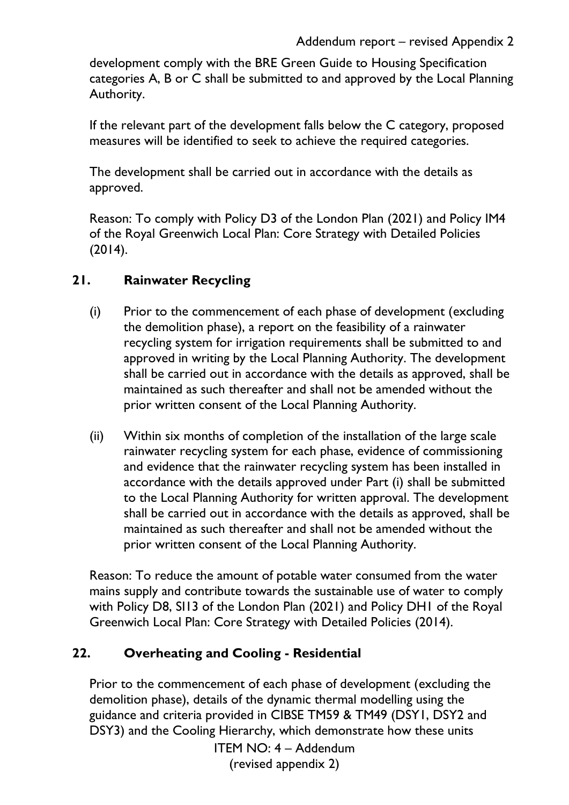development comply with the BRE Green Guide to Housing Specification categories A, B or C shall be submitted to and approved by the Local Planning Authority.

If the relevant part of the development falls below the C category, proposed measures will be identified to seek to achieve the required categories.

The development shall be carried out in accordance with the details as approved.

Reason: To comply with Policy D3 of the London Plan (2021) and Policy IM4 of the Royal Greenwich Local Plan: Core Strategy with Detailed Policies (2014).

### **21. Rainwater Recycling**

- (i) Prior to the commencement of each phase of development (excluding the demolition phase), a report on the feasibility of a rainwater recycling system for irrigation requirements shall be submitted to and approved in writing by the Local Planning Authority. The development shall be carried out in accordance with the details as approved, shall be maintained as such thereafter and shall not be amended without the prior written consent of the Local Planning Authority.
- (ii) Within six months of completion of the installation of the large scale rainwater recycling system for each phase, evidence of commissioning and evidence that the rainwater recycling system has been installed in accordance with the details approved under Part (i) shall be submitted to the Local Planning Authority for written approval. The development shall be carried out in accordance with the details as approved, shall be maintained as such thereafter and shall not be amended without the prior written consent of the Local Planning Authority.

Reason: To reduce the amount of potable water consumed from the water mains supply and contribute towards the sustainable use of water to comply with Policy D8, SI13 of the London Plan (2021) and Policy DH1 of the Royal Greenwich Local Plan: Core Strategy with Detailed Policies (2014).

### **22. Overheating and Cooling - Residential**

Prior to the commencement of each phase of development (excluding the demolition phase), details of the dynamic thermal modelling using the guidance and criteria provided in CIBSE TM59 & TM49 (DSY1, DSY2 and DSY3) and the Cooling Hierarchy, which demonstrate how these units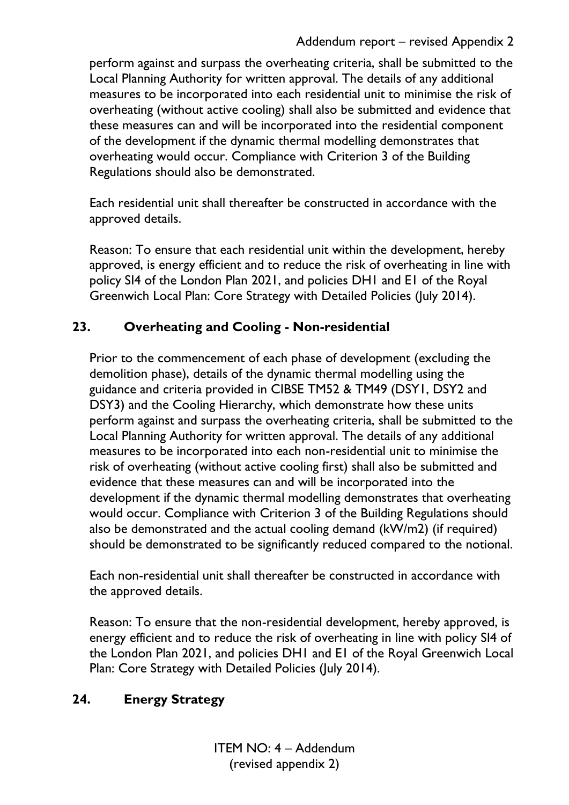perform against and surpass the overheating criteria, shall be submitted to the Local Planning Authority for written approval. The details of any additional measures to be incorporated into each residential unit to minimise the risk of overheating (without active cooling) shall also be submitted and evidence that these measures can and will be incorporated into the residential component of the development if the dynamic thermal modelling demonstrates that overheating would occur. Compliance with Criterion 3 of the Building Regulations should also be demonstrated.

Each residential unit shall thereafter be constructed in accordance with the approved details.

Reason: To ensure that each residential unit within the development, hereby approved, is energy efficient and to reduce the risk of overheating in line with policy SI4 of the London Plan 2021, and policies DH1 and E1 of the Royal Greenwich Local Plan: Core Strategy with Detailed Policies (July 2014).

## **23. Overheating and Cooling - Non-residential**

Prior to the commencement of each phase of development (excluding the demolition phase), details of the dynamic thermal modelling using the guidance and criteria provided in CIBSE TM52 & TM49 (DSY1, DSY2 and DSY3) and the Cooling Hierarchy, which demonstrate how these units perform against and surpass the overheating criteria, shall be submitted to the Local Planning Authority for written approval. The details of any additional measures to be incorporated into each non-residential unit to minimise the risk of overheating (without active cooling first) shall also be submitted and evidence that these measures can and will be incorporated into the development if the dynamic thermal modelling demonstrates that overheating would occur. Compliance with Criterion 3 of the Building Regulations should also be demonstrated and the actual cooling demand (kW/m2) (if required) should be demonstrated to be significantly reduced compared to the notional.

Each non-residential unit shall thereafter be constructed in accordance with the approved details.

Reason: To ensure that the non-residential development, hereby approved, is energy efficient and to reduce the risk of overheating in line with policy SI4 of the London Plan 2021, and policies DH1 and E1 of the Royal Greenwich Local Plan: Core Strategy with Detailed Policies (July 2014).

# **24. Energy Strategy**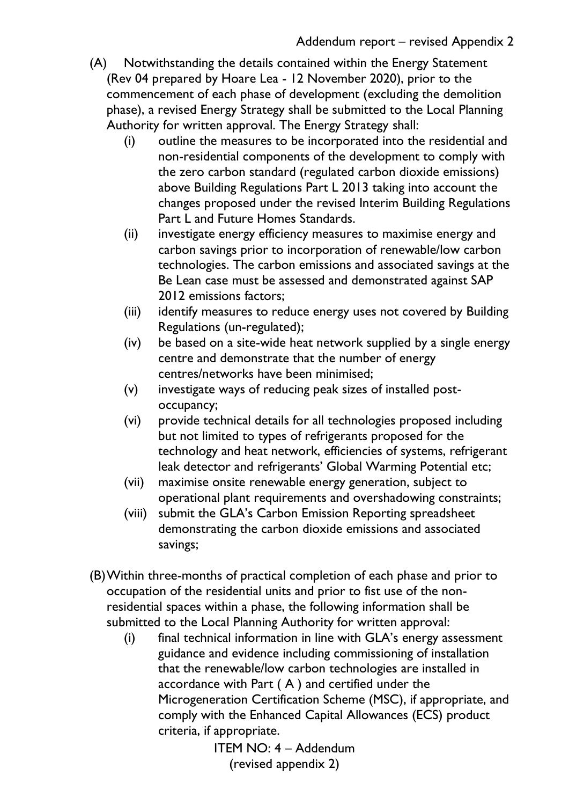- (A) Notwithstanding the details contained within the Energy Statement (Rev 04 prepared by Hoare Lea - 12 November 2020), prior to the commencement of each phase of development (excluding the demolition phase), a revised Energy Strategy shall be submitted to the Local Planning Authority for written approval. The Energy Strategy shall:
	- (i) outline the measures to be incorporated into the residential and non-residential components of the development to comply with the zero carbon standard (regulated carbon dioxide emissions) above Building Regulations Part L 2013 taking into account the changes proposed under the revised Interim Building Regulations Part L and Future Homes Standards.
	- (ii) investigate energy efficiency measures to maximise energy and carbon savings prior to incorporation of renewable/low carbon technologies. The carbon emissions and associated savings at the Be Lean case must be assessed and demonstrated against SAP 2012 emissions factors;
	- (iii) identify measures to reduce energy uses not covered by Building Regulations (un-regulated);
	- (iv) be based on a site-wide heat network supplied by a single energy centre and demonstrate that the number of energy centres/networks have been minimised;
	- (v) investigate ways of reducing peak sizes of installed postoccupancy;
	- (vi) provide technical details for all technologies proposed including but not limited to types of refrigerants proposed for the technology and heat network, efficiencies of systems, refrigerant leak detector and refrigerants' Global Warming Potential etc;
	- (vii) maximise onsite renewable energy generation, subject to operational plant requirements and overshadowing constraints;
	- (viii) submit the GLA's Carbon Emission Reporting spreadsheet demonstrating the carbon dioxide emissions and associated savings;
- (B)Within three-months of practical completion of each phase and prior to occupation of the residential units and prior to fist use of the nonresidential spaces within a phase, the following information shall be submitted to the Local Planning Authority for written approval:
	- (i) final technical information in line with GLA's energy assessment guidance and evidence including commissioning of installation that the renewable/low carbon technologies are installed in accordance with Part ( A ) and certified under the Microgeneration Certification Scheme (MSC), if appropriate, and comply with the Enhanced Capital Allowances (ECS) product criteria, if appropriate.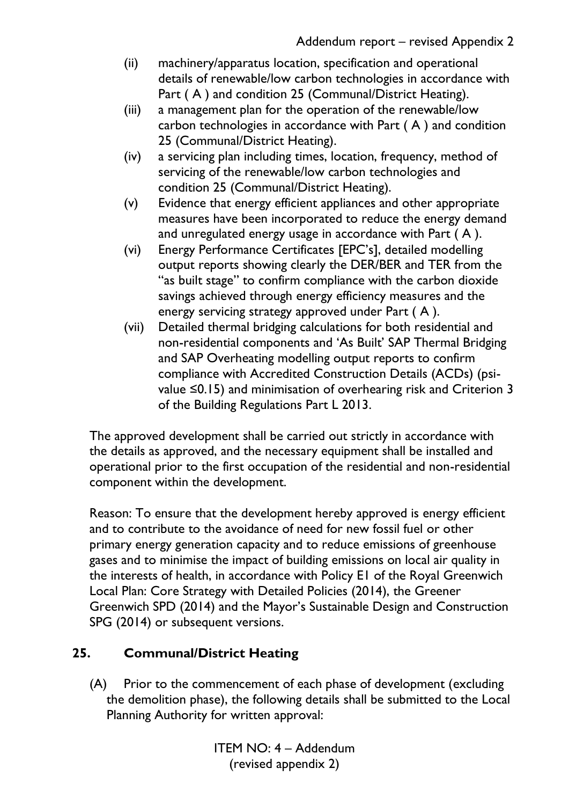- (ii) machinery/apparatus location, specification and operational details of renewable/low carbon technologies in accordance with Part (A) and condition 25 (Communal/District Heating).
- (iii) a management plan for the operation of the renewable/low carbon technologies in accordance with Part ( A ) and condition 25 (Communal/District Heating).
- (iv) a servicing plan including times, location, frequency, method of servicing of the renewable/low carbon technologies and condition 25 (Communal/District Heating).
- (v) Evidence that energy efficient appliances and other appropriate measures have been incorporated to reduce the energy demand and unregulated energy usage in accordance with Part ( A ).
- (vi) Energy Performance Certificates [EPC's], detailed modelling output reports showing clearly the DER/BER and TER from the "as built stage" to confirm compliance with the carbon dioxide savings achieved through energy efficiency measures and the energy servicing strategy approved under Part ( A ).
- (vii) Detailed thermal bridging calculations for both residential and non-residential components and 'As Built' SAP Thermal Bridging and SAP Overheating modelling output reports to confirm compliance with Accredited Construction Details (ACDs) (psivalue ≤0.15) and minimisation of overhearing risk and Criterion 3 of the Building Regulations Part L 2013.

The approved development shall be carried out strictly in accordance with the details as approved, and the necessary equipment shall be installed and operational prior to the first occupation of the residential and non-residential component within the development.

Reason: To ensure that the development hereby approved is energy efficient and to contribute to the avoidance of need for new fossil fuel or other primary energy generation capacity and to reduce emissions of greenhouse gases and to minimise the impact of building emissions on local air quality in the interests of health, in accordance with Policy E1 of the Royal Greenwich Local Plan: Core Strategy with Detailed Policies (2014), the Greener Greenwich SPD (2014) and the Mayor's Sustainable Design and Construction SPG (2014) or subsequent versions.

# **25. Communal/District Heating**

(A) Prior to the commencement of each phase of development (excluding the demolition phase), the following details shall be submitted to the Local Planning Authority for written approval: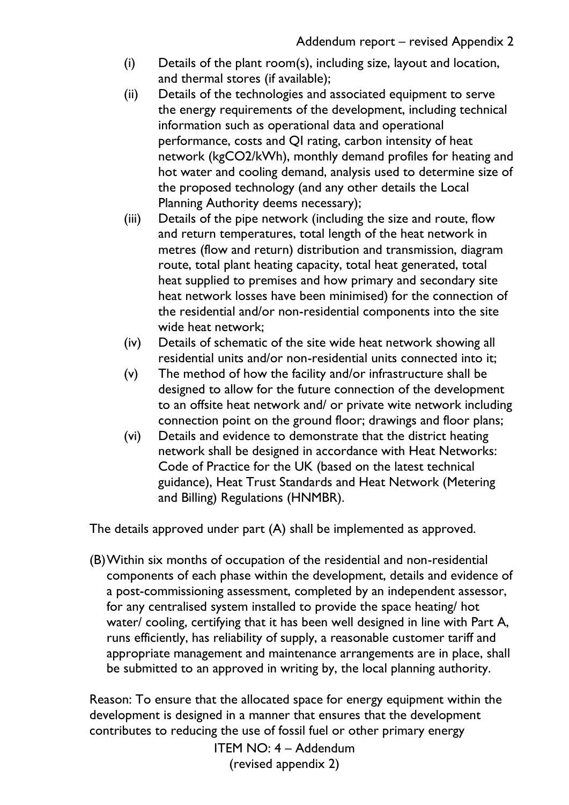- (i) Details of the plant room(s), including size, layout and location, and thermal stores (if available);
- (ii) Details of the technologies and associated equipment to serve the energy requirements of the development, including technical information such as operational data and operational performance, costs and QI rating, carbon intensity of heat network (kgCO2/kWh), monthly demand profiles for heating and hot water and cooling demand, analysis used to determine size of the proposed technology (and any other details the Local Planning Authority deems necessary);
- (iii) Details of the pipe network (including the size and route, flow and return temperatures, total length of the heat network in metres (flow and return) distribution and transmission, diagram route, total plant heating capacity, total heat generated, total heat supplied to premises and how primary and secondary site heat network losses have been minimised) for the connection of the residential and/or non-residential components into the site wide heat network;
- (iv) Details of schematic of the site wide heat network showing all residential units and/or non-residential units connected into it;
- (v) The method of how the facility and/or infrastructure shall be designed to allow for the future connection of the development to an offsite heat network and/ or private wite network including connection point on the ground floor; drawings and floor plans;
- (vi) Details and evidence to demonstrate that the district heating network shall be designed in accordance with Heat Networks: Code of Practice for the UK (based on the latest technical guidance), Heat Trust Standards and Heat Network (Metering and Billing) Regulations (HNMBR).

The details approved under part (A) shall be implemented as approved.

(B)Within six months of occupation of the residential and non-residential components of each phase within the development, details and evidence of a post-commissioning assessment, completed by an independent assessor, for any centralised system installed to provide the space heating/ hot water/ cooling, certifying that it has been well designed in line with Part A, runs efficiently, has reliability of supply, a reasonable customer tariff and appropriate management and maintenance arrangements are in place, shall be submitted to an approved in writing by, the local planning authority.

Reason: To ensure that the allocated space for energy equipment within the development is designed in a manner that ensures that the development contributes to reducing the use of fossil fuel or other primary energy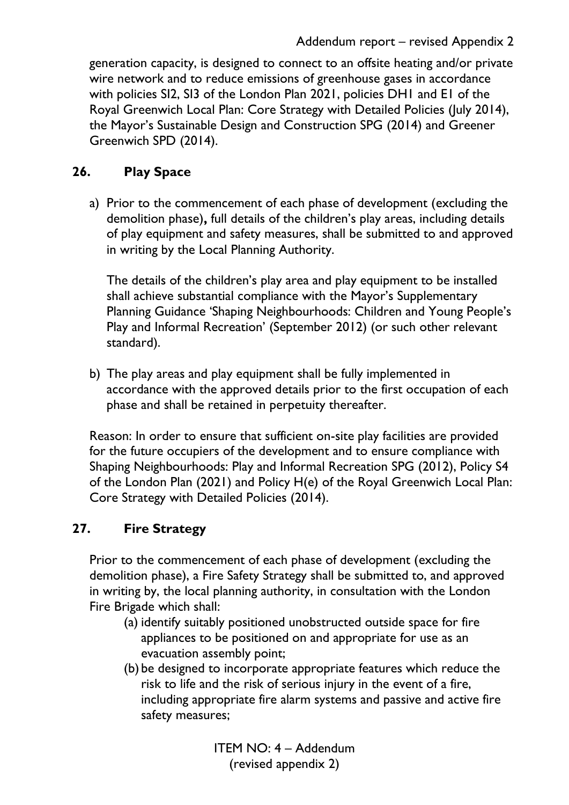generation capacity, is designed to connect to an offsite heating and/or private wire network and to reduce emissions of greenhouse gases in accordance with policies SI2, SI3 of the London Plan 2021, policies DH1 and E1 of the Royal Greenwich Local Plan: Core Strategy with Detailed Policies (July 2014), the Mayor's Sustainable Design and Construction SPG (2014) and Greener Greenwich SPD (2014).

## **26. Play Space**

a) Prior to the commencement of each phase of development (excluding the demolition phase)**,** full details of the children's play areas, including details of play equipment and safety measures, shall be submitted to and approved in writing by the Local Planning Authority.

The details of the children's play area and play equipment to be installed shall achieve substantial compliance with the Mayor's Supplementary Planning Guidance 'Shaping Neighbourhoods: Children and Young People's Play and Informal Recreation' (September 2012) (or such other relevant standard).

b) The play areas and play equipment shall be fully implemented in accordance with the approved details prior to the first occupation of each phase and shall be retained in perpetuity thereafter.

Reason: In order to ensure that sufficient on-site play facilities are provided for the future occupiers of the development and to ensure compliance with Shaping Neighbourhoods: Play and Informal Recreation SPG (2012), Policy S4 of the London Plan (2021) and Policy H(e) of the Royal Greenwich Local Plan: Core Strategy with Detailed Policies (2014).

### **27. Fire Strategy**

Prior to the commencement of each phase of development (excluding the demolition phase), a Fire Safety Strategy shall be submitted to, and approved in writing by, the local planning authority, in consultation with the London Fire Brigade which shall:

- (a) identify suitably positioned unobstructed outside space for fire appliances to be positioned on and appropriate for use as an evacuation assembly point;
- (b) be designed to incorporate appropriate features which reduce the risk to life and the risk of serious injury in the event of a fire, including appropriate fire alarm systems and passive and active fire safety measures;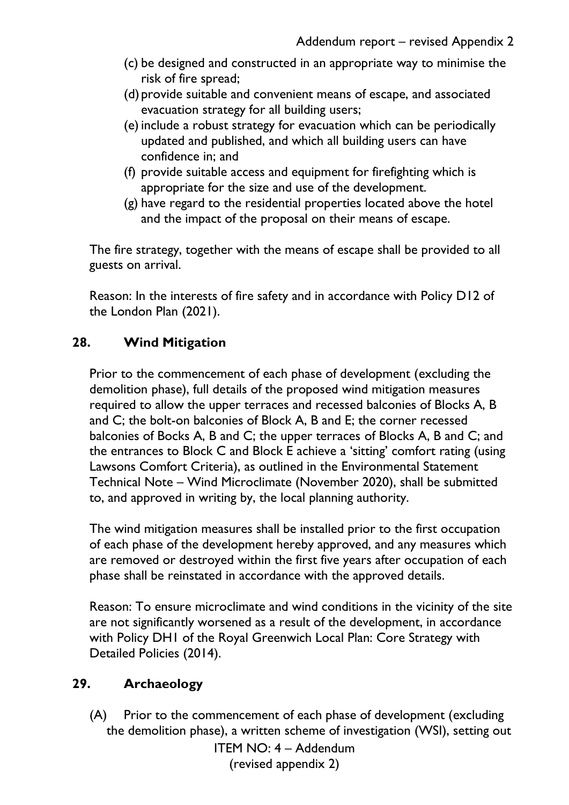- (c) be designed and constructed in an appropriate way to minimise the risk of fire spread;
- (d) provide suitable and convenient means of escape, and associated evacuation strategy for all building users;
- (e)include a robust strategy for evacuation which can be periodically updated and published, and which all building users can have confidence in; and
- (f) provide suitable access and equipment for firefighting which is appropriate for the size and use of the development.
- (g) have regard to the residential properties located above the hotel and the impact of the proposal on their means of escape.

The fire strategy, together with the means of escape shall be provided to all guests on arrival.

Reason: In the interests of fire safety and in accordance with Policy D12 of the London Plan (2021).

### **28. Wind Mitigation**

Prior to the commencement of each phase of development (excluding the demolition phase), full details of the proposed wind mitigation measures required to allow the upper terraces and recessed balconies of Blocks A, B and C; the bolt-on balconies of Block A, B and E; the corner recessed balconies of Bocks A, B and C; the upper terraces of Blocks A, B and C; and the entrances to Block C and Block E achieve a 'sitting' comfort rating (using Lawsons Comfort Criteria), as outlined in the Environmental Statement Technical Note – Wind Microclimate (November 2020), shall be submitted to, and approved in writing by, the local planning authority.

The wind mitigation measures shall be installed prior to the first occupation of each phase of the development hereby approved, and any measures which are removed or destroyed within the first five years after occupation of each phase shall be reinstated in accordance with the approved details.

Reason: To ensure microclimate and wind conditions in the vicinity of the site are not significantly worsened as a result of the development, in accordance with Policy DH1 of the Royal Greenwich Local Plan: Core Strategy with Detailed Policies (2014).

#### **29. Archaeology**

(A) Prior to the commencement of each phase of development (excluding the demolition phase), a written scheme of investigation (WSI), setting out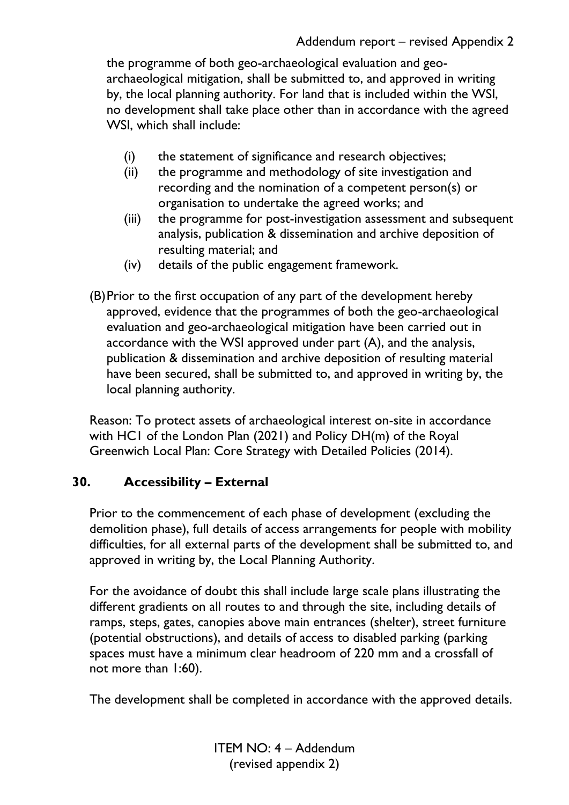the programme of both geo-archaeological evaluation and geoarchaeological mitigation, shall be submitted to, and approved in writing by, the local planning authority. For land that is included within the WSI, no development shall take place other than in accordance with the agreed WSI, which shall include:

- (i) the statement of significance and research objectives;
- (ii) the programme and methodology of site investigation and recording and the nomination of a competent person(s) or organisation to undertake the agreed works; and
- (iii) the programme for post-investigation assessment and subsequent analysis, publication & dissemination and archive deposition of resulting material; and
- (iv) details of the public engagement framework.
- (B)Prior to the first occupation of any part of the development hereby approved, evidence that the programmes of both the geo-archaeological evaluation and geo-archaeological mitigation have been carried out in accordance with the WSI approved under part (A), and the analysis, publication & dissemination and archive deposition of resulting material have been secured, shall be submitted to, and approved in writing by, the local planning authority.

Reason: To protect assets of archaeological interest on-site in accordance with HC1 of the London Plan (2021) and Policy DH(m) of the Royal Greenwich Local Plan: Core Strategy with Detailed Policies (2014).

#### **30. Accessibility – External**

Prior to the commencement of each phase of development (excluding the demolition phase), full details of access arrangements for people with mobility difficulties, for all external parts of the development shall be submitted to, and approved in writing by, the Local Planning Authority.

For the avoidance of doubt this shall include large scale plans illustrating the different gradients on all routes to and through the site, including details of ramps, steps, gates, canopies above main entrances (shelter), street furniture (potential obstructions), and details of access to disabled parking (parking spaces must have a minimum clear headroom of 220 mm and a crossfall of not more than 1:60).

The development shall be completed in accordance with the approved details.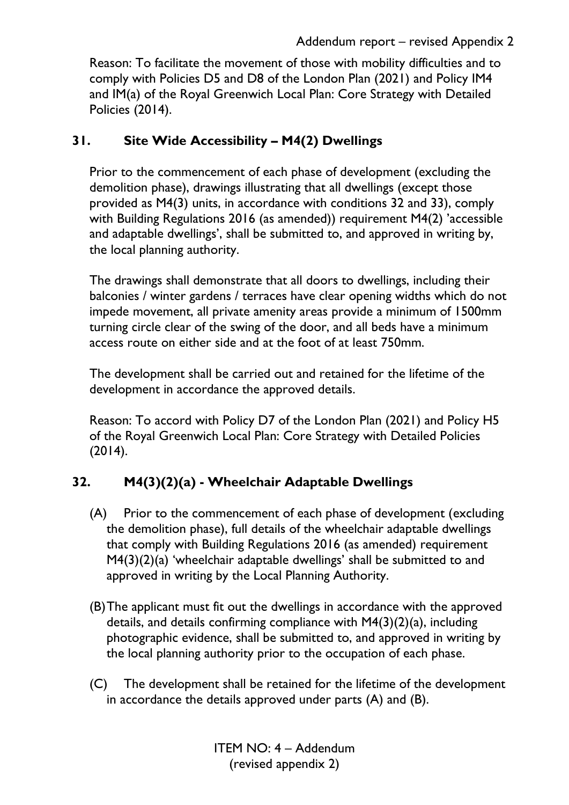#### Addendum report – revised Appendix 2

Reason: To facilitate the movement of those with mobility difficulties and to comply with Policies D5 and D8 of the London Plan (2021) and Policy IM4 and IM(a) of the Royal Greenwich Local Plan: Core Strategy with Detailed Policies (2014).

### **31. Site Wide Accessibility – M4(2) Dwellings**

Prior to the commencement of each phase of development (excluding the demolition phase), drawings illustrating that all dwellings (except those provided as M4(3) units, in accordance with conditions 32 and 33), comply with Building Regulations 2016 (as amended)) requirement M4(2) 'accessible and adaptable dwellings', shall be submitted to, and approved in writing by, the local planning authority.

The drawings shall demonstrate that all doors to dwellings, including their balconies / winter gardens / terraces have clear opening widths which do not impede movement, all private amenity areas provide a minimum of 1500mm turning circle clear of the swing of the door, and all beds have a minimum access route on either side and at the foot of at least 750mm.

The development shall be carried out and retained for the lifetime of the development in accordance the approved details.

Reason: To accord with Policy D7 of the London Plan (2021) and Policy H5 of the Royal Greenwich Local Plan: Core Strategy with Detailed Policies (2014).

# **32. M4(3)(2)(a) - Wheelchair Adaptable Dwellings**

- (A) Prior to the commencement of each phase of development (excluding the demolition phase), full details of the wheelchair adaptable dwellings that comply with Building Regulations 2016 (as amended) requirement M4(3)(2)(a) 'wheelchair adaptable dwellings' shall be submitted to and approved in writing by the Local Planning Authority.
- (B)The applicant must fit out the dwellings in accordance with the approved details, and details confirming compliance with M4(3)(2)(a), including photographic evidence, shall be submitted to, and approved in writing by the local planning authority prior to the occupation of each phase.
- (C) The development shall be retained for the lifetime of the development in accordance the details approved under parts (A) and (B).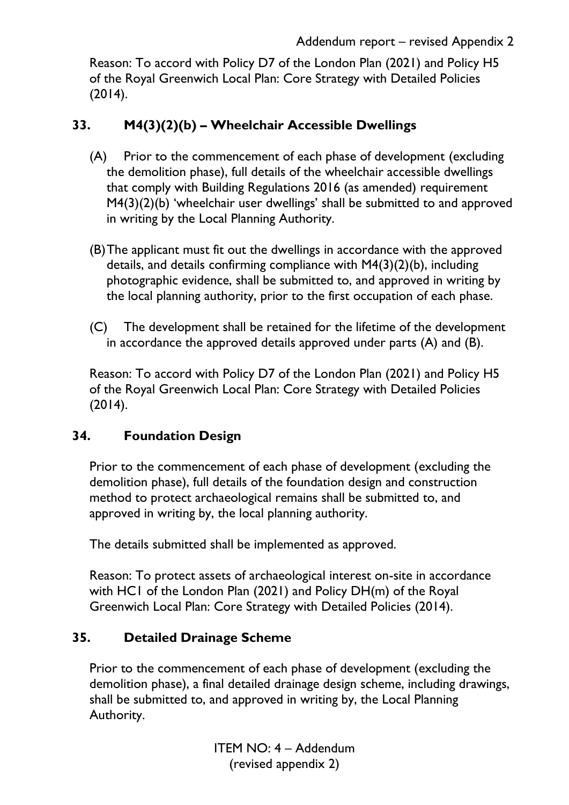Reason: To accord with Policy D7 of the London Plan (2021) and Policy H5 of the Royal Greenwich Local Plan: Core Strategy with Detailed Policies  $(2014).$ 

### **33. M4(3)(2)(b) – Wheelchair Accessible Dwellings**

- (A) Prior to the commencement of each phase of development (excluding the demolition phase), full details of the wheelchair accessible dwellings that comply with Building Regulations 2016 (as amended) requirement M4(3)(2)(b) 'wheelchair user dwellings' shall be submitted to and approved in writing by the Local Planning Authority.
- (B)The applicant must fit out the dwellings in accordance with the approved details, and details confirming compliance with M4(3)(2)(b), including photographic evidence, shall be submitted to, and approved in writing by the local planning authority, prior to the first occupation of each phase.
- (C) The development shall be retained for the lifetime of the development in accordance the approved details approved under parts (A) and (B).

Reason: To accord with Policy D7 of the London Plan (2021) and Policy H5 of the Royal Greenwich Local Plan: Core Strategy with Detailed Policies (2014).

### **34. Foundation Design**

Prior to the commencement of each phase of development (excluding the demolition phase), full details of the foundation design and construction method to protect archaeological remains shall be submitted to, and approved in writing by, the local planning authority.

The details submitted shall be implemented as approved.

Reason: To protect assets of archaeological interest on-site in accordance with HC1 of the London Plan (2021) and Policy DH(m) of the Royal Greenwich Local Plan: Core Strategy with Detailed Policies (2014).

#### **35. Detailed Drainage Scheme**

Prior to the commencement of each phase of development (excluding the demolition phase), a final detailed drainage design scheme, including drawings, shall be submitted to, and approved in writing by, the Local Planning Authority.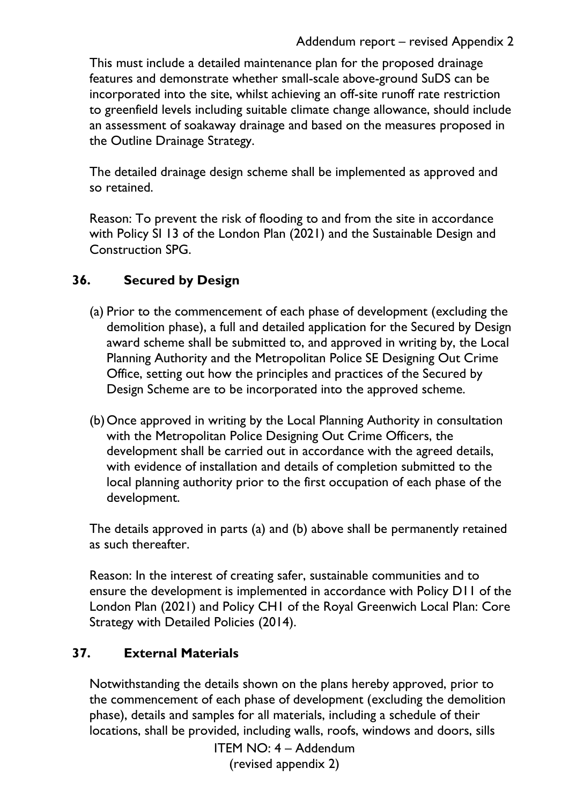This must include a detailed maintenance plan for the proposed drainage features and demonstrate whether small-scale above-ground SuDS can be incorporated into the site, whilst achieving an off-site runoff rate restriction to greenfield levels including suitable climate change allowance, should include an assessment of soakaway drainage and based on the measures proposed in the Outline Drainage Strategy.

The detailed drainage design scheme shall be implemented as approved and so retained.

Reason: To prevent the risk of flooding to and from the site in accordance with Policy SI 13 of the London Plan (2021) and the Sustainable Design and Construction SPG.

## **36. Secured by Design**

- (a) Prior to the commencement of each phase of development (excluding the demolition phase), a full and detailed application for the Secured by Design award scheme shall be submitted to, and approved in writing by, the Local Planning Authority and the Metropolitan Police SE Designing Out Crime Office, setting out how the principles and practices of the Secured by Design Scheme are to be incorporated into the approved scheme.
- (b)Once approved in writing by the Local Planning Authority in consultation with the Metropolitan Police Designing Out Crime Officers, the development shall be carried out in accordance with the agreed details, with evidence of installation and details of completion submitted to the local planning authority prior to the first occupation of each phase of the development.

The details approved in parts (a) and (b) above shall be permanently retained as such thereafter.

Reason: In the interest of creating safer, sustainable communities and to ensure the development is implemented in accordance with Policy D11 of the London Plan (2021) and Policy CH1 of the Royal Greenwich Local Plan: Core Strategy with Detailed Policies (2014).

### **37. External Materials**

Notwithstanding the details shown on the plans hereby approved, prior to the commencement of each phase of development (excluding the demolition phase), details and samples for all materials, including a schedule of their locations, shall be provided, including walls, roofs, windows and doors, sills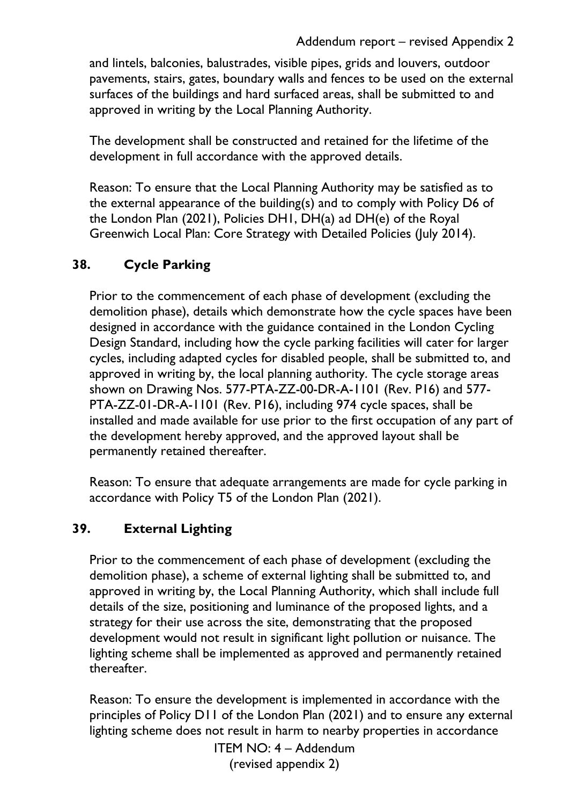and lintels, balconies, balustrades, visible pipes, grids and louvers, outdoor pavements, stairs, gates, boundary walls and fences to be used on the external surfaces of the buildings and hard surfaced areas, shall be submitted to and approved in writing by the Local Planning Authority.

The development shall be constructed and retained for the lifetime of the development in full accordance with the approved details.

Reason: To ensure that the Local Planning Authority may be satisfied as to the external appearance of the building(s) and to comply with Policy D6 of the London Plan (2021), Policies DH1, DH(a) ad DH(e) of the Royal Greenwich Local Plan: Core Strategy with Detailed Policies (July 2014).

# **38. Cycle Parking**

Prior to the commencement of each phase of development (excluding the demolition phase), details which demonstrate how the cycle spaces have been designed in accordance with the guidance contained in the London Cycling Design Standard, including how the cycle parking facilities will cater for larger cycles, including adapted cycles for disabled people, shall be submitted to, and approved in writing by, the local planning authority. The cycle storage areas shown on Drawing Nos. 577-PTA-ZZ-00-DR-A-1101 (Rev. P16) and 577- PTA-ZZ-01-DR-A-1101 (Rev. P16), including 974 cycle spaces, shall be installed and made available for use prior to the first occupation of any part of the development hereby approved, and the approved layout shall be permanently retained thereafter.

Reason: To ensure that adequate arrangements are made for cycle parking in accordance with Policy T5 of the London Plan (2021).

# **39. External Lighting**

Prior to the commencement of each phase of development (excluding the demolition phase), a scheme of external lighting shall be submitted to, and approved in writing by, the Local Planning Authority, which shall include full details of the size, positioning and luminance of the proposed lights, and a strategy for their use across the site, demonstrating that the proposed development would not result in significant light pollution or nuisance. The lighting scheme shall be implemented as approved and permanently retained thereafter.

Reason: To ensure the development is implemented in accordance with the principles of Policy D11 of the London Plan (2021) and to ensure any external lighting scheme does not result in harm to nearby properties in accordance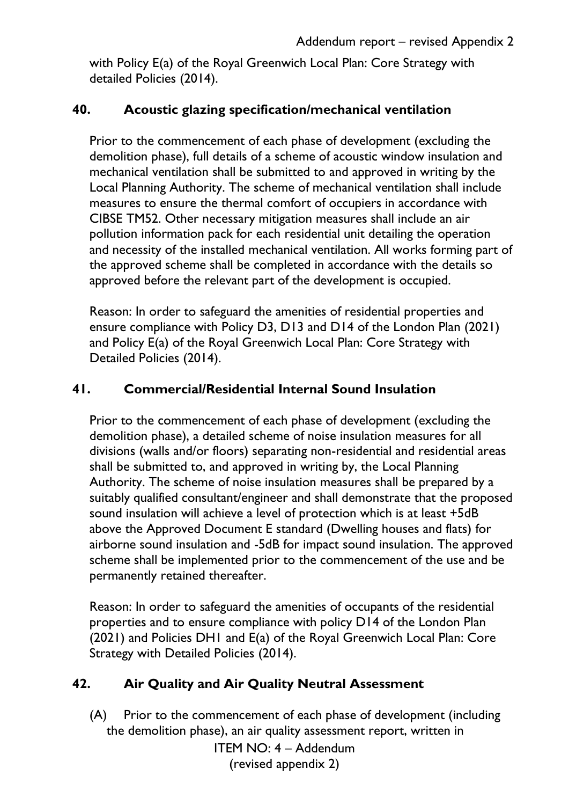with Policy E(a) of the Royal Greenwich Local Plan: Core Strategy with detailed Policies (2014).

### **40. Acoustic glazing specification/mechanical ventilation**

Prior to the commencement of each phase of development (excluding the demolition phase), full details of a scheme of acoustic window insulation and mechanical ventilation shall be submitted to and approved in writing by the Local Planning Authority. The scheme of mechanical ventilation shall include measures to ensure the thermal comfort of occupiers in accordance with CIBSE TM52. Other necessary mitigation measures shall include an air pollution information pack for each residential unit detailing the operation and necessity of the installed mechanical ventilation. All works forming part of the approved scheme shall be completed in accordance with the details so approved before the relevant part of the development is occupied.

Reason: In order to safeguard the amenities of residential properties and ensure compliance with Policy D3, D13 and D14 of the London Plan (2021) and Policy E(a) of the Royal Greenwich Local Plan: Core Strategy with Detailed Policies (2014).

#### **41. Commercial/Residential Internal Sound Insulation**

Prior to the commencement of each phase of development (excluding the demolition phase), a detailed scheme of noise insulation measures for all divisions (walls and/or floors) separating non-residential and residential areas shall be submitted to, and approved in writing by, the Local Planning Authority. The scheme of noise insulation measures shall be prepared by a suitably qualified consultant/engineer and shall demonstrate that the proposed sound insulation will achieve a level of protection which is at least +5dB above the Approved Document E standard (Dwelling houses and flats) for airborne sound insulation and -5dB for impact sound insulation. The approved scheme shall be implemented prior to the commencement of the use and be permanently retained thereafter.

Reason: In order to safeguard the amenities of occupants of the residential properties and to ensure compliance with policy D14 of the London Plan (2021) and Policies DH1 and E(a) of the Royal Greenwich Local Plan: Core Strategy with Detailed Policies (2014).

#### **42. Air Quality and Air Quality Neutral Assessment**

(A) Prior to the commencement of each phase of development (including the demolition phase), an air quality assessment report, written in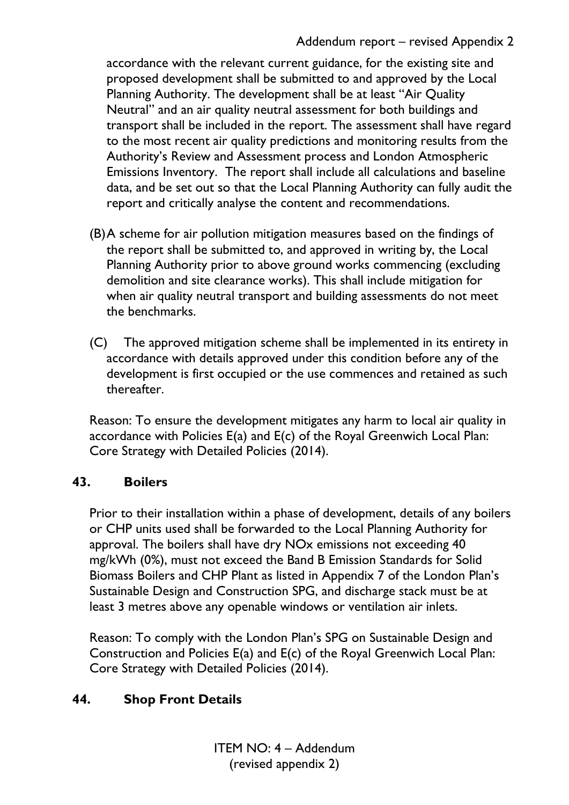#### Addendum report – revised Appendix 2

accordance with the relevant current guidance, for the existing site and proposed development shall be submitted to and approved by the Local Planning Authority. The development shall be at least "Air Quality Neutral" and an air quality neutral assessment for both buildings and transport shall be included in the report. The assessment shall have regard to the most recent air quality predictions and monitoring results from the Authority's Review and Assessment process and London Atmospheric Emissions Inventory. The report shall include all calculations and baseline data, and be set out so that the Local Planning Authority can fully audit the report and critically analyse the content and recommendations.

- (B)A scheme for air pollution mitigation measures based on the findings of the report shall be submitted to, and approved in writing by, the Local Planning Authority prior to above ground works commencing (excluding demolition and site clearance works). This shall include mitigation for when air quality neutral transport and building assessments do not meet the benchmarks.
- (C) The approved mitigation scheme shall be implemented in its entirety in accordance with details approved under this condition before any of the development is first occupied or the use commences and retained as such thereafter.

Reason: To ensure the development mitigates any harm to local air quality in accordance with Policies E(a) and E(c) of the Royal Greenwich Local Plan: Core Strategy with Detailed Policies (2014).

#### **43. Boilers**

Prior to their installation within a phase of development, details of any boilers or CHP units used shall be forwarded to the Local Planning Authority for approval. The boilers shall have dry NOx emissions not exceeding 40 mg/kWh (0%), must not exceed the Band B Emission Standards for Solid Biomass Boilers and CHP Plant as listed in Appendix 7 of the London Plan's Sustainable Design and Construction SPG, and discharge stack must be at least 3 metres above any openable windows or ventilation air inlets.

Reason: To comply with the London Plan's SPG on Sustainable Design and Construction and Policies E(a) and E(c) of the Royal Greenwich Local Plan: Core Strategy with Detailed Policies (2014).

#### **44. Shop Front Details**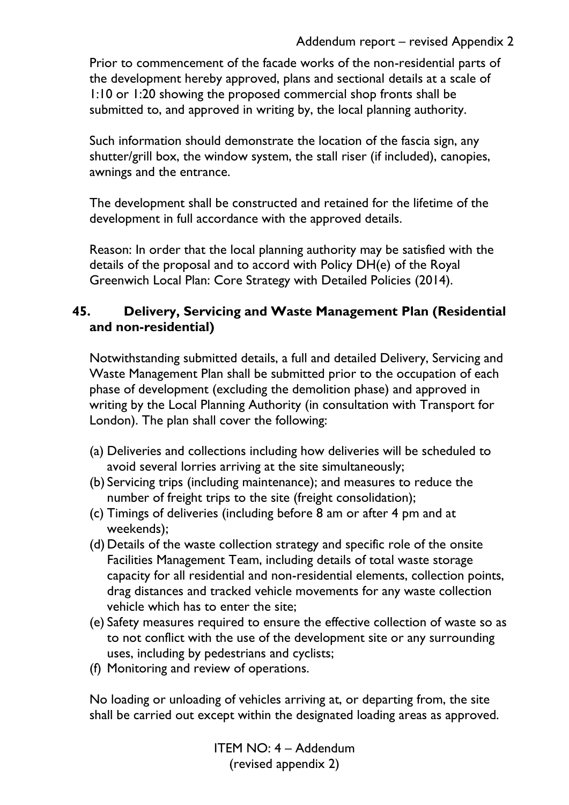#### Addendum report – revised Appendix 2

Prior to commencement of the facade works of the non-residential parts of the development hereby approved, plans and sectional details at a scale of 1:10 or 1:20 showing the proposed commercial shop fronts shall be submitted to, and approved in writing by, the local planning authority.

Such information should demonstrate the location of the fascia sign, any shutter/grill box, the window system, the stall riser (if included), canopies, awnings and the entrance.

The development shall be constructed and retained for the lifetime of the development in full accordance with the approved details.

Reason: In order that the local planning authority may be satisfied with the details of the proposal and to accord with Policy DH(e) of the Royal Greenwich Local Plan: Core Strategy with Detailed Policies (2014).

#### **45. Delivery, Servicing and Waste Management Plan (Residential and non-residential)**

Notwithstanding submitted details, a full and detailed Delivery, Servicing and Waste Management Plan shall be submitted prior to the occupation of each phase of development (excluding the demolition phase) and approved in writing by the Local Planning Authority (in consultation with Transport for London). The plan shall cover the following:

- (a) Deliveries and collections including how deliveries will be scheduled to avoid several lorries arriving at the site simultaneously;
- (b) Servicing trips (including maintenance); and measures to reduce the number of freight trips to the site (freight consolidation);
- (c) Timings of deliveries (including before 8 am or after 4 pm and at weekends);
- (d) Details of the waste collection strategy and specific role of the onsite Facilities Management Team, including details of total waste storage capacity for all residential and non-residential elements, collection points, drag distances and tracked vehicle movements for any waste collection vehicle which has to enter the site;
- (e) Safety measures required to ensure the effective collection of waste so as to not conflict with the use of the development site or any surrounding uses, including by pedestrians and cyclists;
- (f) Monitoring and review of operations.

No loading or unloading of vehicles arriving at, or departing from, the site shall be carried out except within the designated loading areas as approved.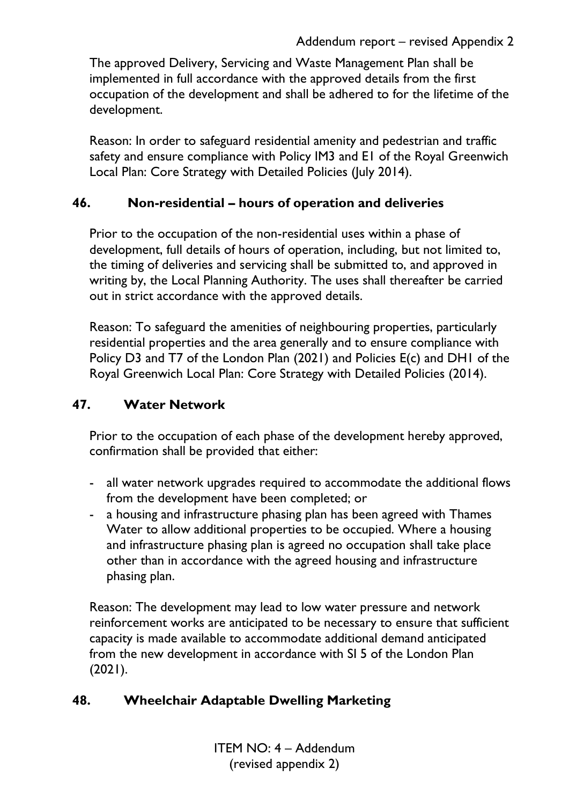The approved Delivery, Servicing and Waste Management Plan shall be implemented in full accordance with the approved details from the first occupation of the development and shall be adhered to for the lifetime of the development.

Reason: In order to safeguard residential amenity and pedestrian and traffic safety and ensure compliance with Policy IM3 and E1 of the Royal Greenwich Local Plan: Core Strategy with Detailed Policies (July 2014).

### **46. Non-residential – hours of operation and deliveries**

Prior to the occupation of the non-residential uses within a phase of development, full details of hours of operation, including, but not limited to, the timing of deliveries and servicing shall be submitted to, and approved in writing by, the Local Planning Authority. The uses shall thereafter be carried out in strict accordance with the approved details.

Reason: To safeguard the amenities of neighbouring properties, particularly residential properties and the area generally and to ensure compliance with Policy D3 and T7 of the London Plan (2021) and Policies E(c) and DH1 of the Royal Greenwich Local Plan: Core Strategy with Detailed Policies (2014).

### **47. Water Network**

Prior to the occupation of each phase of the development hereby approved, confirmation shall be provided that either:

- all water network upgrades required to accommodate the additional flows from the development have been completed; or
- a housing and infrastructure phasing plan has been agreed with Thames Water to allow additional properties to be occupied. Where a housing and infrastructure phasing plan is agreed no occupation shall take place other than in accordance with the agreed housing and infrastructure phasing plan.

Reason: The development may lead to low water pressure and network reinforcement works are anticipated to be necessary to ensure that sufficient capacity is made available to accommodate additional demand anticipated from the new development in accordance with SI 5 of the London Plan  $(2021).$ 

### **48. Wheelchair Adaptable Dwelling Marketing**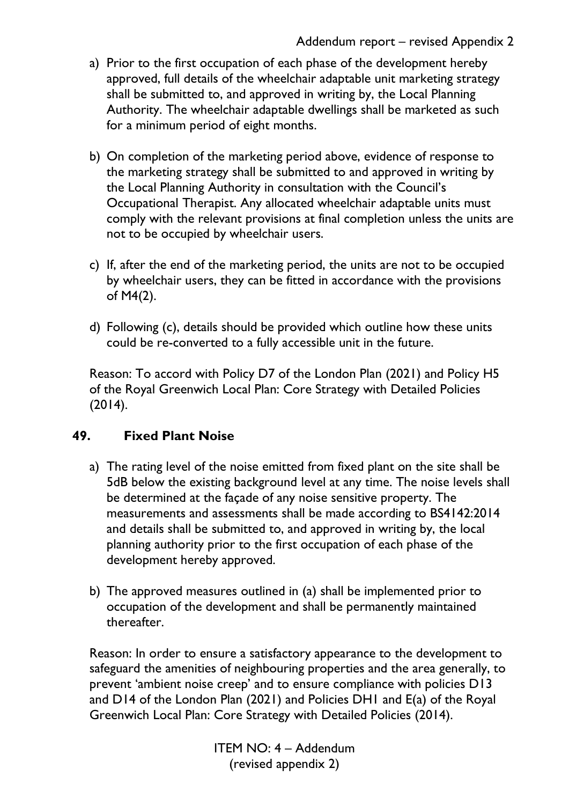- a) Prior to the first occupation of each phase of the development hereby approved, full details of the wheelchair adaptable unit marketing strategy shall be submitted to, and approved in writing by, the Local Planning Authority. The wheelchair adaptable dwellings shall be marketed as such for a minimum period of eight months.
- b) On completion of the marketing period above, evidence of response to the marketing strategy shall be submitted to and approved in writing by the Local Planning Authority in consultation with the Council's Occupational Therapist. Any allocated wheelchair adaptable units must comply with the relevant provisions at final completion unless the units are not to be occupied by wheelchair users.
- c) If, after the end of the marketing period, the units are not to be occupied by wheelchair users, they can be fitted in accordance with the provisions of M4(2).
- d) Following (c), details should be provided which outline how these units could be re-converted to a fully accessible unit in the future.

Reason: To accord with Policy D7 of the London Plan (2021) and Policy H5 of the Royal Greenwich Local Plan: Core Strategy with Detailed Policies (2014).

### **49. Fixed Plant Noise**

- a) The rating level of the noise emitted from fixed plant on the site shall be 5dB below the existing background level at any time. The noise levels shall be determined at the façade of any noise sensitive property. The measurements and assessments shall be made according to BS4142:2014 and details shall be submitted to, and approved in writing by, the local planning authority prior to the first occupation of each phase of the development hereby approved.
- b) The approved measures outlined in (a) shall be implemented prior to occupation of the development and shall be permanently maintained thereafter.

Reason: In order to ensure a satisfactory appearance to the development to safeguard the amenities of neighbouring properties and the area generally, to prevent 'ambient noise creep' and to ensure compliance with policies D13 and D14 of the London Plan (2021) and Policies DH1 and E(a) of the Royal Greenwich Local Plan: Core Strategy with Detailed Policies (2014).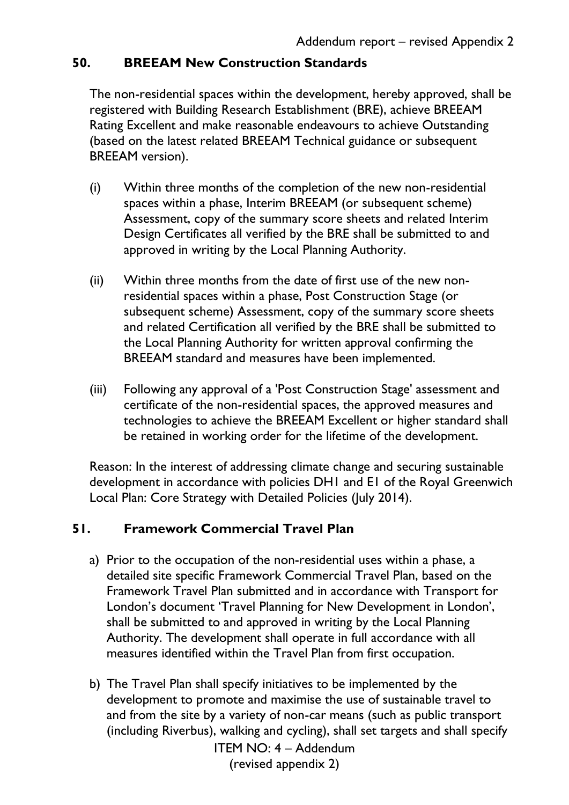### **50. BREEAM New Construction Standards**

The non-residential spaces within the development, hereby approved, shall be registered with Building Research Establishment (BRE), achieve BREEAM Rating Excellent and make reasonable endeavours to achieve Outstanding (based on the latest related BREEAM Technical guidance or subsequent BREEAM version).

- (i) Within three months of the completion of the new non-residential spaces within a phase, Interim BREEAM (or subsequent scheme) Assessment, copy of the summary score sheets and related Interim Design Certificates all verified by the BRE shall be submitted to and approved in writing by the Local Planning Authority.
- (ii) Within three months from the date of first use of the new nonresidential spaces within a phase, Post Construction Stage (or subsequent scheme) Assessment, copy of the summary score sheets and related Certification all verified by the BRE shall be submitted to the Local Planning Authority for written approval confirming the BREEAM standard and measures have been implemented.
- (iii) Following any approval of a 'Post Construction Stage' assessment and certificate of the non-residential spaces, the approved measures and technologies to achieve the BREEAM Excellent or higher standard shall be retained in working order for the lifetime of the development.

Reason: In the interest of addressing climate change and securing sustainable development in accordance with policies DH1 and E1 of the Royal Greenwich Local Plan: Core Strategy with Detailed Policies (July 2014).

### **51. Framework Commercial Travel Plan**

- a) Prior to the occupation of the non-residential uses within a phase, a detailed site specific Framework Commercial Travel Plan, based on the Framework Travel Plan submitted and in accordance with Transport for London's document 'Travel Planning for New Development in London', shall be submitted to and approved in writing by the Local Planning Authority. The development shall operate in full accordance with all measures identified within the Travel Plan from first occupation.
- b) The Travel Plan shall specify initiatives to be implemented by the development to promote and maximise the use of sustainable travel to and from the site by a variety of non-car means (such as public transport (including Riverbus), walking and cycling), shall set targets and shall specify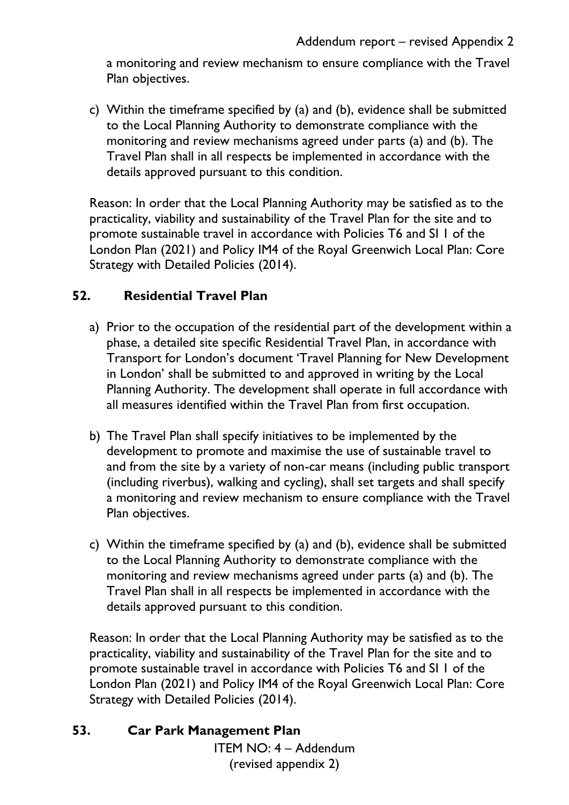a monitoring and review mechanism to ensure compliance with the Travel Plan objectives.

c) Within the timeframe specified by (a) and (b), evidence shall be submitted to the Local Planning Authority to demonstrate compliance with the monitoring and review mechanisms agreed under parts (a) and (b). The Travel Plan shall in all respects be implemented in accordance with the details approved pursuant to this condition.

Reason: In order that the Local Planning Authority may be satisfied as to the practicality, viability and sustainability of the Travel Plan for the site and to promote sustainable travel in accordance with Policies T6 and SI 1 of the London Plan (2021) and Policy IM4 of the Royal Greenwich Local Plan: Core Strategy with Detailed Policies (2014).

#### **52. Residential Travel Plan**

- a) Prior to the occupation of the residential part of the development within a phase, a detailed site specific Residential Travel Plan, in accordance with Transport for London's document 'Travel Planning for New Development in London' shall be submitted to and approved in writing by the Local Planning Authority. The development shall operate in full accordance with all measures identified within the Travel Plan from first occupation.
- b) The Travel Plan shall specify initiatives to be implemented by the development to promote and maximise the use of sustainable travel to and from the site by a variety of non-car means (including public transport (including riverbus), walking and cycling), shall set targets and shall specify a monitoring and review mechanism to ensure compliance with the Travel Plan objectives.
- c) Within the timeframe specified by (a) and (b), evidence shall be submitted to the Local Planning Authority to demonstrate compliance with the monitoring and review mechanisms agreed under parts (a) and (b). The Travel Plan shall in all respects be implemented in accordance with the details approved pursuant to this condition.

Reason: In order that the Local Planning Authority may be satisfied as to the practicality, viability and sustainability of the Travel Plan for the site and to promote sustainable travel in accordance with Policies T6 and SI 1 of the London Plan (2021) and Policy IM4 of the Royal Greenwich Local Plan: Core Strategy with Detailed Policies (2014).

#### **53. Car Park Management Plan**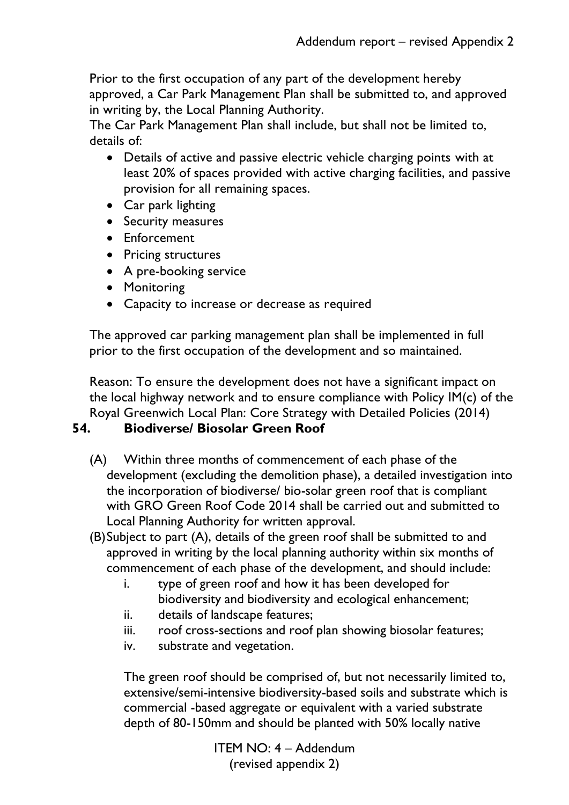Prior to the first occupation of any part of the development hereby approved, a Car Park Management Plan shall be submitted to, and approved in writing by, the Local Planning Authority.

The Car Park Management Plan shall include, but shall not be limited to, details of:

- Details of active and passive electric vehicle charging points with at least 20% of spaces provided with active charging facilities, and passive provision for all remaining spaces.
- Car park lighting
- Security measures
- Enforcement
- Pricing structures
- A pre-booking service
- Monitoring
- Capacity to increase or decrease as required

The approved car parking management plan shall be implemented in full prior to the first occupation of the development and so maintained.

Reason: To ensure the development does not have a significant impact on the local highway network and to ensure compliance with Policy IM(c) of the Royal Greenwich Local Plan: Core Strategy with Detailed Policies (2014)

### **54. Biodiverse/ Biosolar Green Roof**

- (A) Within three months of commencement of each phase of the development (excluding the demolition phase), a detailed investigation into the incorporation of biodiverse/ bio-solar green roof that is compliant with GRO Green Roof Code 2014 shall be carried out and submitted to Local Planning Authority for written approval.
- (B)Subject to part (A), details of the green roof shall be submitted to and approved in writing by the local planning authority within six months of commencement of each phase of the development, and should include:
	- i. type of green roof and how it has been developed for biodiversity and biodiversity and ecological enhancement;
	- ii. details of landscape features;
	- iii. roof cross-sections and roof plan showing biosolar features;
	- iv. substrate and vegetation.

The green roof should be comprised of, but not necessarily limited to, extensive/semi-intensive biodiversity-based soils and substrate which is commercial -based aggregate or equivalent with a varied substrate depth of 80-150mm and should be planted with 50% locally native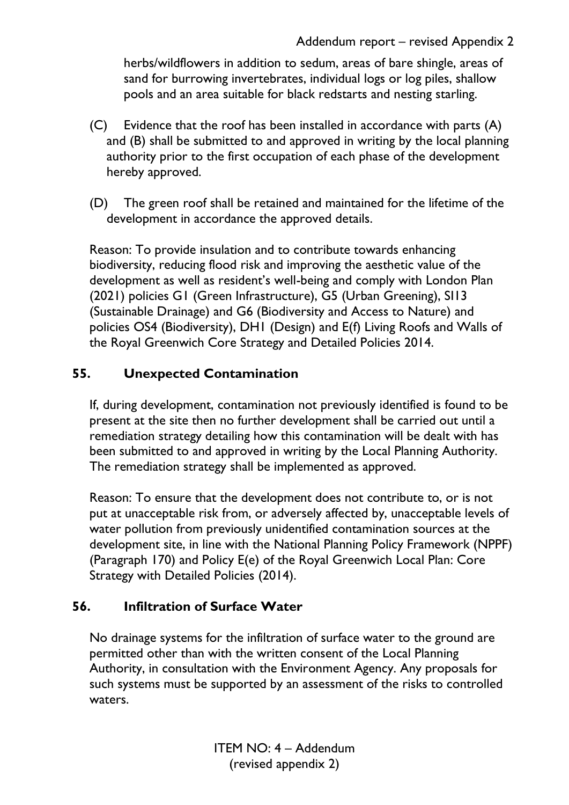herbs/wildflowers in addition to sedum, areas of bare shingle, areas of sand for burrowing invertebrates, individual logs or log piles, shallow pools and an area suitable for black redstarts and nesting starling.

- (C) Evidence that the roof has been installed in accordance with parts (A) and (B) shall be submitted to and approved in writing by the local planning authority prior to the first occupation of each phase of the development hereby approved.
- (D) The green roof shall be retained and maintained for the lifetime of the development in accordance the approved details.

Reason: To provide insulation and to contribute towards enhancing biodiversity, reducing flood risk and improving the aesthetic value of the development as well as resident's well-being and comply with London Plan (2021) policies G1 (Green Infrastructure), G5 (Urban Greening), SI13 (Sustainable Drainage) and G6 (Biodiversity and Access to Nature) and policies OS4 (Biodiversity), DH1 (Design) and E(f) Living Roofs and Walls of the Royal Greenwich Core Strategy and Detailed Policies 2014.

## **55. Unexpected Contamination**

If, during development, contamination not previously identified is found to be present at the site then no further development shall be carried out until a remediation strategy detailing how this contamination will be dealt with has been submitted to and approved in writing by the Local Planning Authority. The remediation strategy shall be implemented as approved.

Reason: To ensure that the development does not contribute to, or is not put at unacceptable risk from, or adversely affected by, unacceptable levels of water pollution from previously unidentified contamination sources at the development site, in line with the National Planning Policy Framework (NPPF) (Paragraph 170) and Policy E(e) of the Royal Greenwich Local Plan: Core Strategy with Detailed Policies (2014).

### **56. Infiltration of Surface Water**

No drainage systems for the infiltration of surface water to the ground are permitted other than with the written consent of the Local Planning Authority, in consultation with the Environment Agency. Any proposals for such systems must be supported by an assessment of the risks to controlled waters.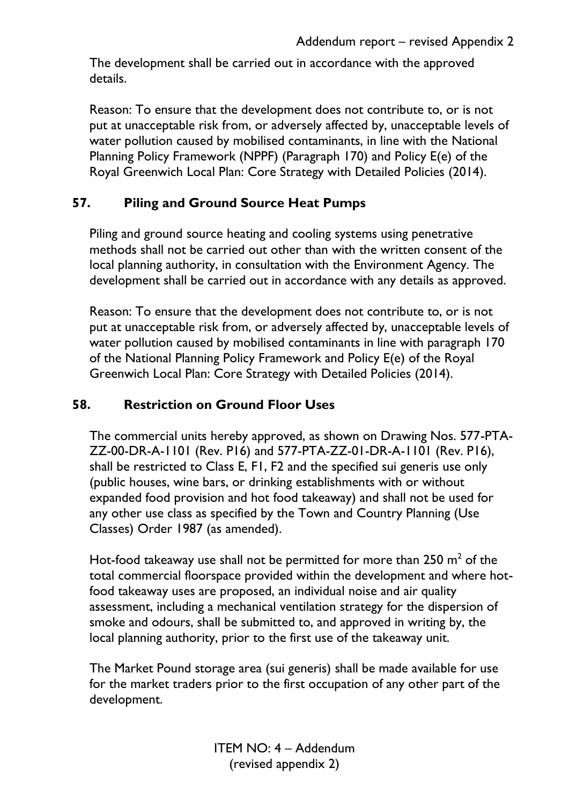The development shall be carried out in accordance with the approved details.

Reason: To ensure that the development does not contribute to, or is not put at unacceptable risk from, or adversely affected by, unacceptable levels of water pollution caused by mobilised contaminants, in line with the National Planning Policy Framework (NPPF) (Paragraph 170) and Policy E(e) of the Royal Greenwich Local Plan: Core Strategy with Detailed Policies (2014).

### **57. Piling and Ground Source Heat Pumps**

Piling and ground source heating and cooling systems using penetrative methods shall not be carried out other than with the written consent of the local planning authority, in consultation with the Environment Agency. The development shall be carried out in accordance with any details as approved.

Reason: To ensure that the development does not contribute to, or is not put at unacceptable risk from, or adversely affected by, unacceptable levels of water pollution caused by mobilised contaminants in line with paragraph 170 of the National Planning Policy Framework and Policy E(e) of the Royal Greenwich Local Plan: Core Strategy with Detailed Policies (2014).

### **58. Restriction on Ground Floor Uses**

The commercial units hereby approved, as shown on Drawing Nos. 577-PTA-ZZ-00-DR-A-1101 (Rev. P16) and 577-PTA-ZZ-01-DR-A-1101 (Rev. P16), shall be restricted to Class E, F1, F2 and the specified sui generis use only (public houses, wine bars, or drinking establishments with or without expanded food provision and hot food takeaway) and shall not be used for any other use class as specified by the Town and Country Planning (Use Classes) Order 1987 (as amended).

Hot-food takeaway use shall not be permitted for more than  $250 \text{ m}^2$  of the total commercial floorspace provided within the development and where hotfood takeaway uses are proposed, an individual noise and air quality assessment, including a mechanical ventilation strategy for the dispersion of smoke and odours, shall be submitted to, and approved in writing by, the local planning authority, prior to the first use of the takeaway unit.

The Market Pound storage area (sui generis) shall be made available for use for the market traders prior to the first occupation of any other part of the development.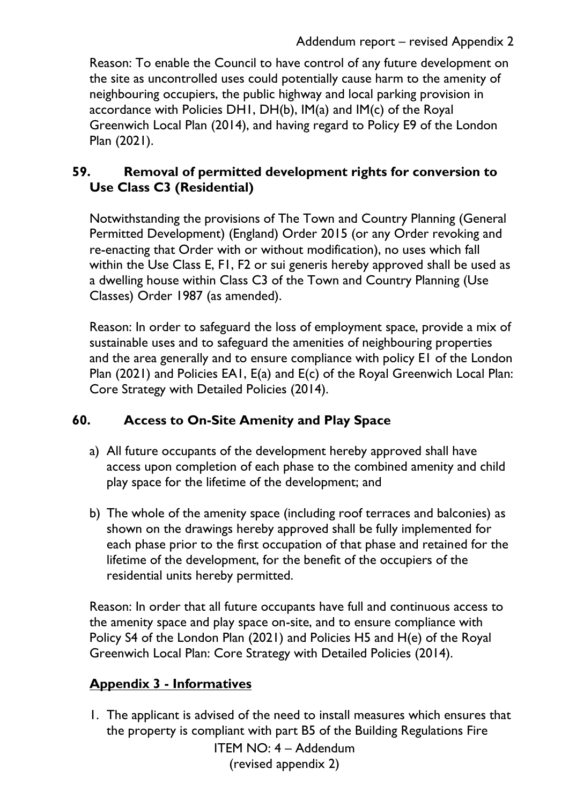Reason: To enable the Council to have control of any future development on the site as uncontrolled uses could potentially cause harm to the amenity of neighbouring occupiers, the public highway and local parking provision in accordance with Policies DH1, DH(b), IM(a) and IM(c) of the Royal Greenwich Local Plan (2014), and having regard to Policy E9 of the London Plan (2021).

### **59. Removal of permitted development rights for conversion to Use Class C3 (Residential)**

Notwithstanding the provisions of The Town and Country Planning (General Permitted Development) (England) Order 2015 (or any Order revoking and re-enacting that Order with or without modification), no uses which fall within the Use Class E, F1, F2 or sui generis hereby approved shall be used as a dwelling house within Class C3 of the Town and Country Planning (Use Classes) Order 1987 (as amended).

Reason: In order to safeguard the loss of employment space, provide a mix of sustainable uses and to safeguard the amenities of neighbouring properties and the area generally and to ensure compliance with policy E1 of the London Plan (2021) and Policies EA1, E(a) and E(c) of the Royal Greenwich Local Plan: Core Strategy with Detailed Policies (2014).

### **60. Access to On-Site Amenity and Play Space**

- a) All future occupants of the development hereby approved shall have access upon completion of each phase to the combined amenity and child play space for the lifetime of the development; and
- b) The whole of the amenity space (including roof terraces and balconies) as shown on the drawings hereby approved shall be fully implemented for each phase prior to the first occupation of that phase and retained for the lifetime of the development, for the benefit of the occupiers of the residential units hereby permitted.

Reason: In order that all future occupants have full and continuous access to the amenity space and play space on-site, and to ensure compliance with Policy S4 of the London Plan (2021) and Policies H5 and H(e) of the Royal Greenwich Local Plan: Core Strategy with Detailed Policies (2014).

# **Appendix 3 - Informatives**

1. The applicant is advised of the need to install measures which ensures that the property is compliant with part B5 of the Building Regulations Fire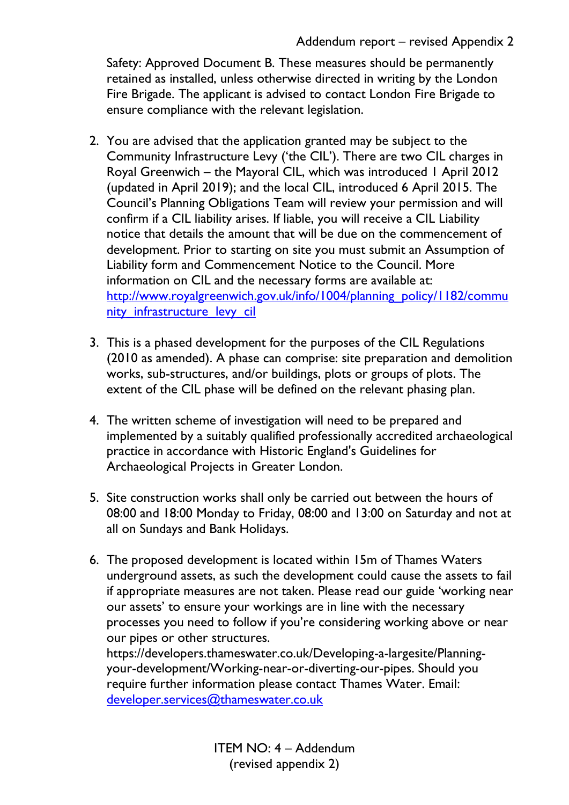Safety: Approved Document B. These measures should be permanently retained as installed, unless otherwise directed in writing by the London Fire Brigade. The applicant is advised to contact London Fire Brigade to ensure compliance with the relevant legislation.

- 2. You are advised that the application granted may be subject to the Community Infrastructure Levy ('the CIL'). There are two CIL charges in Royal Greenwich – the Mayoral CIL, which was introduced 1 April 2012 (updated in April 2019); and the local CIL, introduced 6 April 2015. The Council's Planning Obligations Team will review your permission and will confirm if a CIL liability arises. If liable, you will receive a CIL Liability notice that details the amount that will be due on the commencement of development. Prior to starting on site you must submit an Assumption of Liability form and Commencement Notice to the Council. More information on CIL and the necessary forms are available at: [http://www.royalgreenwich.gov.uk/info/1004/planning\\_policy/1182/commu](http://www.royalgreenwich.gov.uk/info/1004/planning_policy/1182/community_infrastructure_levy_cil) [nity\\_infrastructure\\_levy\\_cil](http://www.royalgreenwich.gov.uk/info/1004/planning_policy/1182/community_infrastructure_levy_cil)
- 3. This is a phased development for the purposes of the CIL Regulations (2010 as amended). A phase can comprise: site preparation and demolition works, sub-structures, and/or buildings, plots or groups of plots. The extent of the CIL phase will be defined on the relevant phasing plan.
- 4. The written scheme of investigation will need to be prepared and implemented by a suitably qualified professionally accredited archaeological practice in accordance with Historic England's Guidelines for Archaeological Projects in Greater London.
- 5. Site construction works shall only be carried out between the hours of 08:00 and 18:00 Monday to Friday, 08:00 and 13:00 on Saturday and not at all on Sundays and Bank Holidays.
- 6. The proposed development is located within 15m of Thames Waters underground assets, as such the development could cause the assets to fail if appropriate measures are not taken. Please read our guide 'working near our assets' to ensure your workings are in line with the necessary processes you need to follow if you're considering working above or near our pipes or other structures.

https://developers.thameswater.co.uk/Developing-a-largesite/Planningyour-development/Working-near-or-diverting-our-pipes. Should you require further information please contact Thames Water. Email: [developer.services@thameswater.co.uk](mailto:developer.services@thameswater.co.uk)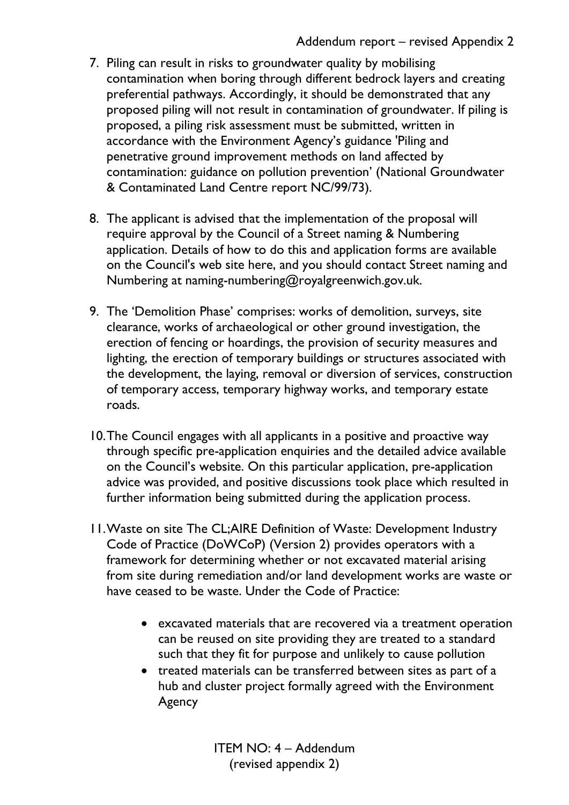- 7. Piling can result in risks to groundwater quality by mobilising contamination when boring through different bedrock layers and creating preferential pathways. Accordingly, it should be demonstrated that any proposed piling will not result in contamination of groundwater. If piling is proposed, a piling risk assessment must be submitted, written in accordance with the Environment Agency's guidance 'Piling and penetrative ground improvement methods on land affected by contamination: guidance on pollution prevention' (National Groundwater & Contaminated Land Centre report NC/99/73).
- 8. The applicant is advised that the implementation of the proposal will require approval by the Council of a Street naming & Numbering application. Details of how to do this and application forms are available on the Council's web site here, and you should contact Street naming and Numbering at naming-numbering@royalgreenwich.gov.uk.
- 9. The 'Demolition Phase' comprises: works of demolition, surveys, site clearance, works of archaeological or other ground investigation, the erection of fencing or hoardings, the provision of security measures and lighting, the erection of temporary buildings or structures associated with the development, the laying, removal or diversion of services, construction of temporary access, temporary highway works, and temporary estate roads.
- 10.The Council engages with all applicants in a positive and proactive way through specific pre-application enquiries and the detailed advice available on the Council's website. On this particular application, pre-application advice was provided, and positive discussions took place which resulted in further information being submitted during the application process.
- 11.Waste on site The CL;AIRE Definition of Waste: Development Industry Code of Practice (DoWCoP) (Version 2) provides operators with a framework for determining whether or not excavated material arising from site during remediation and/or land development works are waste or have ceased to be waste. Under the Code of Practice:
	- excavated materials that are recovered via a treatment operation can be reused on site providing they are treated to a standard such that they fit for purpose and unlikely to cause pollution
	- treated materials can be transferred between sites as part of a hub and cluster project formally agreed with the Environment Agency